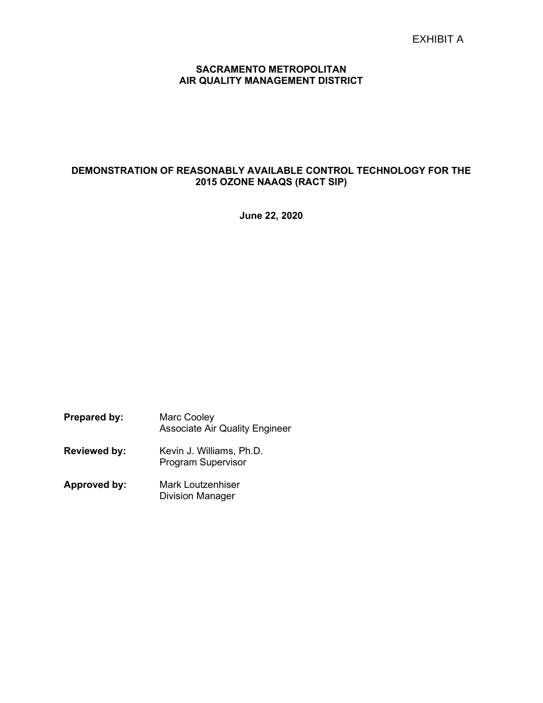## SACRAMENTO METROPOLITAN AIR QUALITY MANAGEMENT DISTRICT

## DEMONSTRATION OF REASONABLY AVAILABLE CONTROL TECHNOLOGY FOR THE 2015 OZONE NAAQS (RACT SIP)

June 22, 2020

Prepared by: Marc Cooley Associate Air Quality Engineer Reviewed by: Kevin J. Williams, Ph.D. Program Supervisor Approved by: Mark Loutzenhiser Division Manager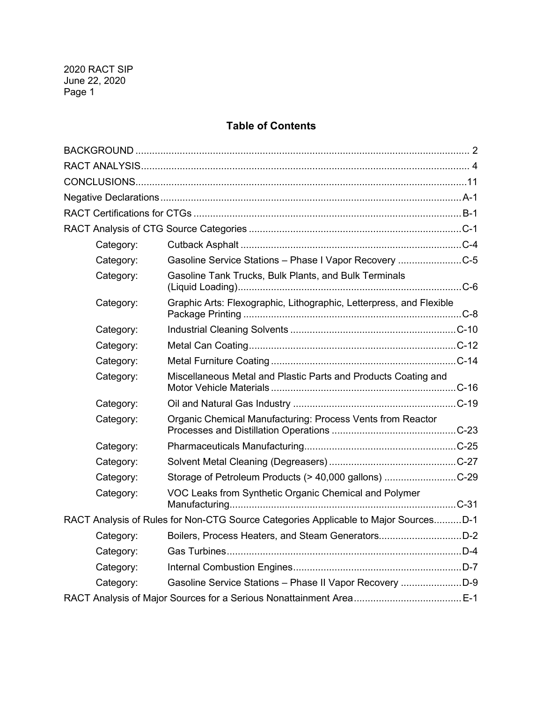# Table of Contents

| Category: |                                                                                     |  |
|-----------|-------------------------------------------------------------------------------------|--|
| Category: | Gasoline Service Stations - Phase I Vapor Recovery C-5                              |  |
| Category: | Gasoline Tank Trucks, Bulk Plants, and Bulk Terminals                               |  |
| Category: | Graphic Arts: Flexographic, Lithographic, Letterpress, and Flexible                 |  |
| Category: |                                                                                     |  |
| Category: |                                                                                     |  |
| Category: |                                                                                     |  |
| Category: | Miscellaneous Metal and Plastic Parts and Products Coating and                      |  |
| Category: |                                                                                     |  |
| Category: | Organic Chemical Manufacturing: Process Vents from Reactor                          |  |
| Category: |                                                                                     |  |
| Category: |                                                                                     |  |
| Category: | Storage of Petroleum Products (> 40,000 gallons) C-29                               |  |
| Category: | VOC Leaks from Synthetic Organic Chemical and Polymer                               |  |
|           | RACT Analysis of Rules for Non-CTG Source Categories Applicable to Major SourcesD-1 |  |
| Category: | Boilers, Process Heaters, and Steam GeneratorsD-2                                   |  |
| Category: |                                                                                     |  |
| Category: |                                                                                     |  |
| Category: |                                                                                     |  |
|           |                                                                                     |  |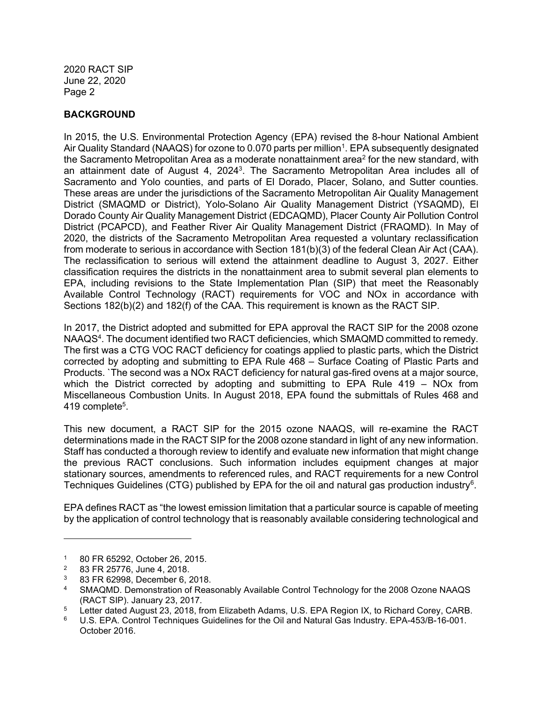## BACKGROUND

In 2015, the U.S. Environmental Protection Agency (EPA) revised the 8-hour National Ambient Air Quality Standard (NAAQS) for ozone to 0.070 parts per million<sup>1</sup>. EPA subsequently designated the Sacramento Metropolitan Area as a moderate nonattainment area $^2$  for the new standard, with an attainment date of August 4, 2024<sup>3</sup>. The Sacramento Metropolitan Area includes all of Sacramento and Yolo counties, and parts of El Dorado, Placer, Solano, and Sutter counties. These areas are under the jurisdictions of the Sacramento Metropolitan Air Quality Management District (SMAQMD or District), Yolo-Solano Air Quality Management District (YSAQMD), El Dorado County Air Quality Management District (EDCAQMD), Placer County Air Pollution Control District (PCAPCD), and Feather River Air Quality Management District (FRAQMD). In May of 2020, the districts of the Sacramento Metropolitan Area requested a voluntary reclassification from moderate to serious in accordance with Section 181(b)(3) of the federal Clean Air Act (CAA). The reclassification to serious will extend the attainment deadline to August 3, 2027. Either classification requires the districts in the nonattainment area to submit several plan elements to EPA, including revisions to the State Implementation Plan (SIP) that meet the Reasonably Available Control Technology (RACT) requirements for VOC and NOx in accordance with Sections 182(b)(2) and 182(f) of the CAA. This requirement is known as the RACT SIP.

In 2017, the District adopted and submitted for EPA approval the RACT SIP for the 2008 ozone NAAQS<sup>4</sup>. The document identified two RACT deficiencies, which SMAQMD committed to remedy. The first was a CTG VOC RACT deficiency for coatings applied to plastic parts, which the District corrected by adopting and submitting to EPA Rule 468 – Surface Coating of Plastic Parts and Products. `The second was a NOx RACT deficiency for natural gas-fired ovens at a major source, which the District corrected by adopting and submitting to EPA Rule 419 – NOx from Miscellaneous Combustion Units. In August 2018, EPA found the submittals of Rules 468 and 419 complete<sup>5</sup>.

This new document, a RACT SIP for the 2015 ozone NAAQS, will re-examine the RACT determinations made in the RACT SIP for the 2008 ozone standard in light of any new information. Staff has conducted a thorough review to identify and evaluate new information that might change the previous RACT conclusions. Such information includes equipment changes at major stationary sources, amendments to referenced rules, and RACT requirements for a new Control Techniques Guidelines (CTG) published by EPA for the oil and natural gas production industry<sup>6</sup>.

EPA defines RACT as "the lowest emission limitation that a particular source is capable of meeting by the application of control technology that is reasonably available considering technological and

<sup>1</sup> 80 FR 65292, October 26, 2015.

<sup>2</sup> 83 FR 25776, June 4, 2018.

<sup>3</sup> 83 FR 62998, December 6, 2018.

<sup>4</sup> SMAQMD. Demonstration of Reasonably Available Control Technology for the 2008 Ozone NAAQS (RACT SIP). January 23, 2017.

<sup>5</sup> Letter dated August 23, 2018, from Elizabeth Adams, U.S. EPA Region IX, to Richard Corey, CARB.

<sup>6</sup> U.S. EPA. Control Techniques Guidelines for the Oil and Natural Gas Industry. EPA-453/B-16-001. October 2016.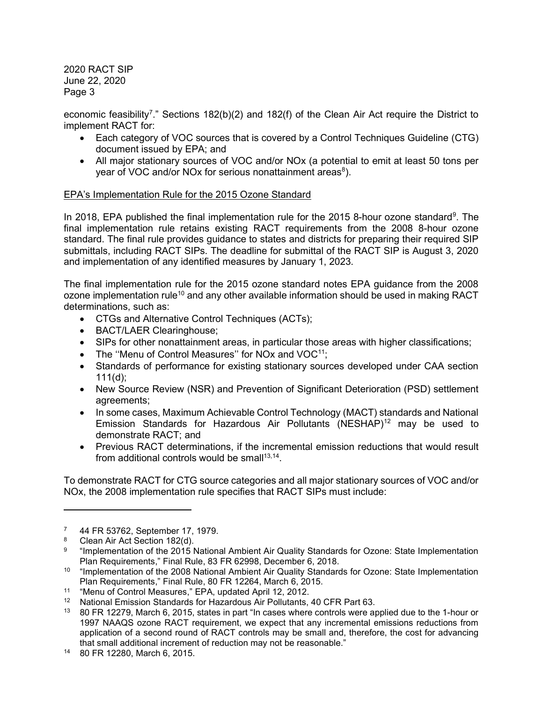economic feasibility<sup>7</sup>." Sections 182(b)(2) and 182(f) of the Clean Air Act require the District to implement RACT for:

- Each category of VOC sources that is covered by a Control Techniques Guideline (CTG) document issued by EPA; and
- All major stationary sources of VOC and/or NOx (a potential to emit at least 50 tons per year of VOC and/or NOx for serious nonattainment areas $^8$ ).

## EPA's Implementation Rule for the 2015 Ozone Standard

In 2018, EPA published the final implementation rule for the 2015 8-hour ozone standard<sup>9</sup>. The final implementation rule retains existing RACT requirements from the 2008 8-hour ozone standard. The final rule provides guidance to states and districts for preparing their required SIP submittals, including RACT SIPs. The deadline for submittal of the RACT SIP is August 3, 2020 and implementation of any identified measures by January 1, 2023.

The final implementation rule for the 2015 ozone standard notes EPA guidance from the 2008 ozone implementation rule<sup>10</sup> and any other available information should be used in making RACT determinations, such as:

- CTGs and Alternative Control Techniques (ACTs);
- BACT/LAER Clearinghouse;
- SIPs for other nonattainment areas, in particular those areas with higher classifications;
- The "Menu of Control Measures" for NO<sub>x</sub> and VOC<sup>11</sup>;
- Standards of performance for existing stationary sources developed under CAA section  $111(d)$ ;
- New Source Review (NSR) and Prevention of Significant Deterioration (PSD) settlement agreements;
- In some cases, Maximum Achievable Control Technology (MACT) standards and National Emission Standards for Hazardous Air Pollutants (NESHAP)<sup>12</sup> may be used to demonstrate RACT; and
- Previous RACT determinations, if the incremental emission reductions that would result from additional controls would be small $13,14$ .

To demonstrate RACT for CTG source categories and all major stationary sources of VOC and/or NOx, the 2008 implementation rule specifies that RACT SIPs must include:

<sup>7</sup> 44 FR 53762, September 17, 1979.

<sup>8</sup> Clean Air Act Section 182(d).

<sup>9</sup> "Implementation of the 2015 National Ambient Air Quality Standards for Ozone: State Implementation Plan Requirements," Final Rule, 83 FR 62998, December 6, 2018.

<sup>10</sup> "Implementation of the 2008 National Ambient Air Quality Standards for Ozone: State Implementation Plan Requirements," Final Rule, 80 FR 12264, March 6, 2015.

<sup>11</sup> "Menu of Control Measures," EPA, updated April 12, 2012.

<sup>&</sup>lt;sup>12</sup> National Emission Standards for Hazardous Air Pollutants, 40 CFR Part 63.

<sup>&</sup>lt;sup>13</sup> 80 FR 12279, March 6, 2015, states in part "In cases where controls were applied due to the 1-hour or 1997 NAAQS ozone RACT requirement, we expect that any incremental emissions reductions from application of a second round of RACT controls may be small and, therefore, the cost for advancing that small additional increment of reduction may not be reasonable."

<sup>14</sup> 80 FR 12280, March 6, 2015.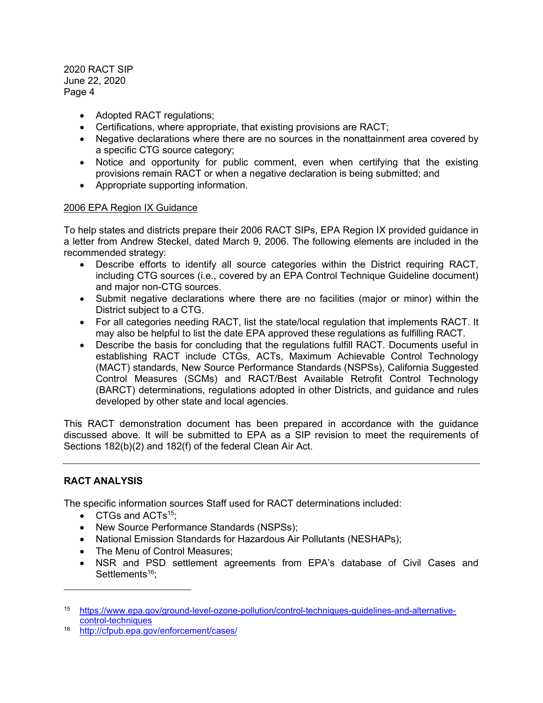- Adopted RACT regulations;
- Certifications, where appropriate, that existing provisions are RACT;
- Negative declarations where there are no sources in the nonattainment area covered by a specific CTG source category;
- Notice and opportunity for public comment, even when certifying that the existing provisions remain RACT or when a negative declaration is being submitted; and
- Appropriate supporting information.

## 2006 EPA Region IX Guidance

To help states and districts prepare their 2006 RACT SIPs, EPA Region IX provided guidance in a letter from Andrew Steckel, dated March 9, 2006. The following elements are included in the recommended strategy:

- Describe efforts to identify all source categories within the District requiring RACT, including CTG sources (i.e., covered by an EPA Control Technique Guideline document) and major non-CTG sources.
- Submit negative declarations where there are no facilities (major or minor) within the District subject to a CTG.
- For all categories needing RACT, list the state/local regulation that implements RACT. It may also be helpful to list the date EPA approved these regulations as fulfilling RACT.
- Describe the basis for concluding that the regulations fulfill RACT. Documents useful in establishing RACT include CTGs, ACTs, Maximum Achievable Control Technology (MACT) standards, New Source Performance Standards (NSPSs), California Suggested Control Measures (SCMs) and RACT/Best Available Retrofit Control Technology (BARCT) determinations, regulations adopted in other Districts, and guidance and rules developed by other state and local agencies.

This RACT demonstration document has been prepared in accordance with the guidance discussed above. It will be submitted to EPA as a SIP revision to meet the requirements of Sections 182(b)(2) and 182(f) of the federal Clean Air Act.

## RACT ANALYSIS

The specific information sources Staff used for RACT determinations included:

- $\bullet$  CTGs and ACTs<sup>15</sup>;
- New Source Performance Standards (NSPSs);
- National Emission Standards for Hazardous Air Pollutants (NESHAPs);
- The Menu of Control Measures;
- NSR and PSD settlement agreements from EPA's database of Civil Cases and Settlements<sup>16</sup>;

<sup>15</sup> https://www.epa.gov/ground-level-ozone-pollution/control-techniques-guidelines-and-alternativecontrol-techniques

<sup>16</sup> http://cfpub.epa.gov/enforcement/cases/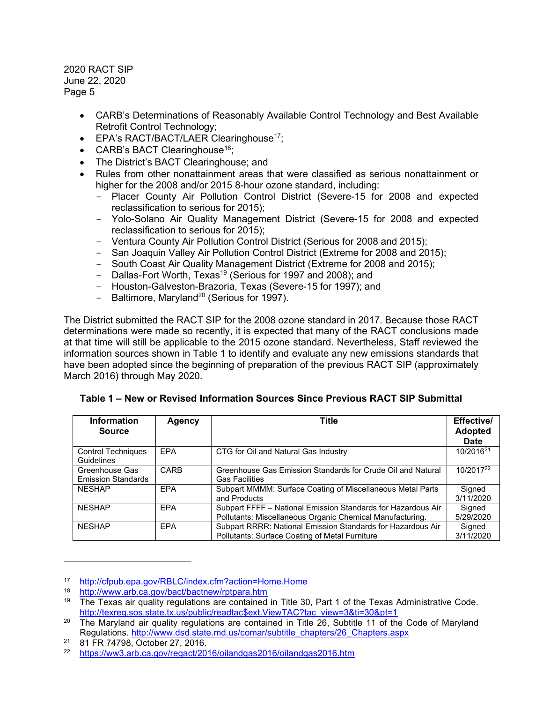- CARB's Determinations of Reasonably Available Control Technology and Best Available Retrofit Control Technology;
- $\bullet$  EPA's RACT/BACT/LAER Clearinghouse<sup>17</sup>;
- CARB's BACT Clearinghouse<sup>18</sup>;
- The District's BACT Clearinghouse; and
- Rules from other nonattainment areas that were classified as serious nonattainment or higher for the 2008 and/or 2015 8-hour ozone standard, including:
	- Placer County Air Pollution Control District (Severe-15 for 2008 and expected reclassification to serious for 2015);
	- Yolo-Solano Air Quality Management District (Severe-15 for 2008 and expected reclassification to serious for 2015);
	- Ventura County Air Pollution Control District (Serious for 2008 and 2015);
	- San Joaquin Valley Air Pollution Control District (Extreme for 2008 and 2015);
	- South Coast Air Quality Management District (Extreme for 2008 and 2015);
	- Dallas-Fort Worth, Texas<sup>19</sup> (Serious for 1997 and 2008); and
	- Houston-Galveston-Brazoria, Texas (Severe-15 for 1997); and
	- Baltimore, Maryland<sup>20</sup> (Serious for 1997).

The District submitted the RACT SIP for the 2008 ozone standard in 2017. Because those RACT determinations were made so recently, it is expected that many of the RACT conclusions made at that time will still be applicable to the 2015 ozone standard. Nevertheless, Staff reviewed the information sources shown in Table 1 to identify and evaluate any new emissions standards that have been adopted since the beginning of preparation of the previous RACT SIP (approximately March 2016) through May 2020.

| <b>Information</b><br><b>Source</b>         | Agency     | Title                                                                                                                     | Effective/<br><b>Adopted</b><br><b>Date</b> |
|---------------------------------------------|------------|---------------------------------------------------------------------------------------------------------------------------|---------------------------------------------|
| <b>Control Techniques</b><br>Guidelines     | <b>EPA</b> | CTG for Oil and Natural Gas Industry                                                                                      | 10/2016 <sup>21</sup>                       |
| Greenhouse Gas<br><b>Emission Standards</b> | CARB       | Greenhouse Gas Emission Standards for Crude Oil and Natural<br><b>Gas Facilities</b>                                      | 10/2017 <sup>22</sup>                       |
| <b>NESHAP</b>                               | EPA        | Subpart MMMM: Surface Coating of Miscellaneous Metal Parts<br>and Products                                                | Signed<br>3/11/2020                         |
| <b>NESHAP</b>                               | <b>EPA</b> | Subpart FFFF - National Emission Standards for Hazardous Air<br>Pollutants: Miscellaneous Organic Chemical Manufacturing. | Signed<br>5/29/2020                         |
| <b>NESHAP</b>                               | <b>FPA</b> | Subpart RRRR: National Emission Standards for Hazardous Air<br>Pollutants: Surface Coating of Metal Furniture             | Signed<br>3/11/2020                         |

Table 1 – New or Revised Information Sources Since Previous RACT SIP Submittal

<sup>17</sup> http://cfpub.epa.gov/RBLC/index.cfm?action=Home.Home<br>18 http://www.arb.ca.gov/bact/bactnew/rptpara.htm

<sup>18</sup> http://www.arb.ca.gov/bact/bactnew/rptpara.htm

<sup>19</sup> The Texas air quality regulations are contained in Title 30, Part 1 of the Texas Administrative Code. http://texreg.sos.state.tx.us/public/readtac\$ext.ViewTAC?tac\_view=3&ti=30&pt=1

 $20$  The Maryland air quality regulations are contained in Title 26, Subtitle 11 of the Code of Maryland Regulations. http://www.dsd.state.md.us/comar/subtitle\_chapters/26\_Chapters.aspx

<sup>&</sup>lt;sup>21</sup> 81 FR 74798, October 27, 2016.

<sup>22</sup> https://ww3.arb.ca.gov/regact/2016/oilandgas2016/oilandgas2016.htm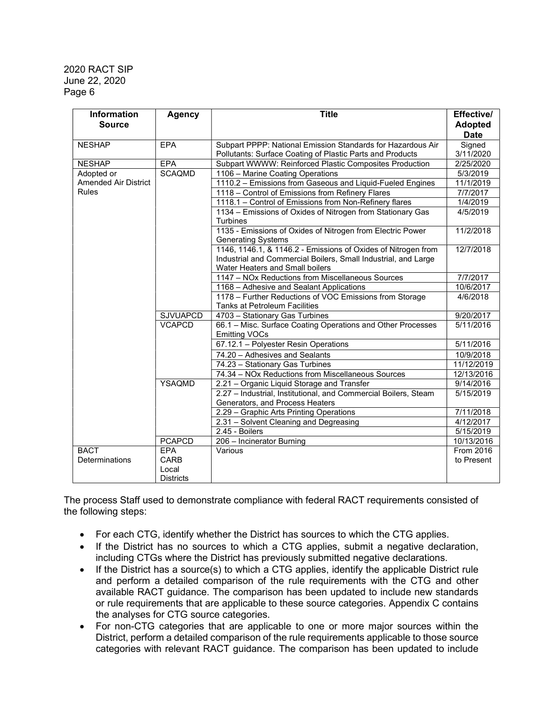| <b>Information</b>                        | Agency           | <b>Title</b>                                                                                               | Effective/             |
|-------------------------------------------|------------------|------------------------------------------------------------------------------------------------------------|------------------------|
| <b>Source</b>                             |                  |                                                                                                            | <b>Adopted</b>         |
|                                           |                  |                                                                                                            | <b>Date</b>            |
| <b>NESHAP</b>                             | <b>EPA</b>       | Subpart PPPP: National Emission Standards for Hazardous Air                                                | Signed                 |
| <b>NESHAP</b>                             | <b>EPA</b>       | Pollutants: Surface Coating of Plastic Parts and Products                                                  | 3/11/2020<br>2/25/2020 |
|                                           |                  | Subpart WWWW: Reinforced Plastic Composites Production                                                     |                        |
| Adopted or<br><b>Amended Air District</b> | <b>SCAQMD</b>    | 1106 - Marine Coating Operations                                                                           | 5/3/2019               |
| <b>Rules</b>                              |                  | 1110.2 - Emissions from Gaseous and Liquid-Fueled Engines                                                  | 11/1/2019              |
|                                           |                  | 1118 - Control of Emissions from Refinery Flares<br>1118.1 - Control of Emissions from Non-Refinery flares | 7/7/2017<br>1/4/2019   |
|                                           |                  |                                                                                                            |                        |
|                                           |                  | 1134 - Emissions of Oxides of Nitrogen from Stationary Gas<br>Turbines                                     | 4/5/2019               |
|                                           |                  | 1135 - Emissions of Oxides of Nitrogen from Electric Power                                                 | 11/2/2018              |
|                                           |                  | <b>Generating Systems</b>                                                                                  |                        |
|                                           |                  | 1146, 1146.1, & 1146.2 - Emissions of Oxides of Nitrogen from                                              | 12/7/2018              |
|                                           |                  | Industrial and Commercial Boilers, Small Industrial, and Large                                             |                        |
|                                           |                  | Water Heaters and Small boilers                                                                            |                        |
|                                           |                  | 1147 - NOx Reductions from Miscellaneous Sources                                                           | 7/7/2017               |
|                                           |                  | 1168 - Adhesive and Sealant Applications                                                                   | 10/6/2017              |
|                                           |                  | 1178 - Further Reductions of VOC Emissions from Storage                                                    | 4/6/2018               |
|                                           |                  | <b>Tanks at Petroleum Facilities</b>                                                                       |                        |
|                                           | <b>SJVUAPCD</b>  | 4703 - Stationary Gas Turbines                                                                             | 9/20/2017              |
|                                           | <b>VCAPCD</b>    | 66.1 - Misc. Surface Coating Operations and Other Processes                                                | 5/11/2016              |
|                                           |                  | <b>Emitting VOCs</b>                                                                                       |                        |
|                                           |                  | 67.12.1 - Polyester Resin Operations                                                                       | 5/11/2016              |
|                                           |                  | 74.20 - Adhesives and Sealants                                                                             | 10/9/2018              |
|                                           |                  | 74.23 - Stationary Gas Turbines                                                                            | 11/12/2019             |
|                                           |                  | 74.34 - NOx Reductions from Miscellaneous Sources                                                          | 12/13/2016             |
|                                           | YSAQMD           | 2.21 - Organic Liquid Storage and Transfer                                                                 | 9/14/2016              |
|                                           |                  | 2.27 - Industrial, Institutional, and Commercial Boilers, Steam                                            | 5/15/2019              |
|                                           |                  | Generators, and Process Heaters                                                                            |                        |
|                                           |                  | 2.29 - Graphic Arts Printing Operations                                                                    | 7/11/2018              |
|                                           |                  | 2.31 - Solvent Cleaning and Degreasing                                                                     | 4/12/2017              |
|                                           |                  | 2.45 - Boilers                                                                                             | 5/15/2019              |
|                                           | <b>PCAPCD</b>    | 206 - Incinerator Burning                                                                                  | 10/13/2016             |
| <b>BACT</b>                               | <b>EPA</b>       | Various                                                                                                    | From 2016              |
| Determinations                            | CARB             |                                                                                                            | to Present             |
|                                           | Local            |                                                                                                            |                        |
|                                           | <b>Districts</b> |                                                                                                            |                        |

The process Staff used to demonstrate compliance with federal RACT requirements consisted of the following steps:

- For each CTG, identify whether the District has sources to which the CTG applies.
- If the District has no sources to which a CTG applies, submit a negative declaration, including CTGs where the District has previously submitted negative declarations.
- If the District has a source(s) to which a CTG applies, identify the applicable District rule and perform a detailed comparison of the rule requirements with the CTG and other available RACT guidance. The comparison has been updated to include new standards or rule requirements that are applicable to these source categories. Appendix C contains the analyses for CTG source categories.
- For non-CTG categories that are applicable to one or more major sources within the District, perform a detailed comparison of the rule requirements applicable to those source categories with relevant RACT guidance. The comparison has been updated to include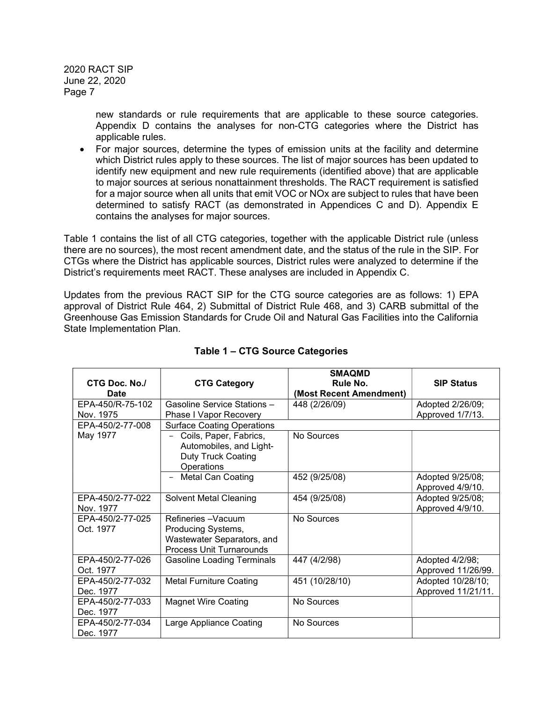> new standards or rule requirements that are applicable to these source categories. Appendix D contains the analyses for non-CTG categories where the District has applicable rules.

 For major sources, determine the types of emission units at the facility and determine which District rules apply to these sources. The list of major sources has been updated to identify new equipment and new rule requirements (identified above) that are applicable to major sources at serious nonattainment thresholds. The RACT requirement is satisfied for a major source when all units that emit VOC or NOx are subject to rules that have been determined to satisfy RACT (as demonstrated in Appendices C and D). Appendix E contains the analyses for major sources.

Table 1 contains the list of all CTG categories, together with the applicable District rule (unless there are no sources), the most recent amendment date, and the status of the rule in the SIP. For CTGs where the District has applicable sources, District rules were analyzed to determine if the District's requirements meet RACT. These analyses are included in Appendix C.

Updates from the previous RACT SIP for the CTG source categories are as follows: 1) EPA approval of District Rule 464, 2) Submittal of District Rule 468, and 3) CARB submittal of the Greenhouse Gas Emission Standards for Crude Oil and Natural Gas Facilities into the California State Implementation Plan.

| <b>CTG Doc. No./</b> | <b>CTG Category</b>                                                                          | <b>SMAQMD</b><br>Rule No. | <b>SIP Status</b>  |
|----------------------|----------------------------------------------------------------------------------------------|---------------------------|--------------------|
| <b>Date</b>          |                                                                                              | (Most Recent Amendment)   |                    |
| EPA-450/R-75-102     | Gasoline Service Stations -                                                                  | 448 (2/26/09)             | Adopted 2/26/09;   |
| Nov. 1975            | Phase I Vapor Recovery                                                                       |                           | Approved 1/7/13.   |
| EPA-450/2-77-008     | <b>Surface Coating Operations</b>                                                            |                           |                    |
| May 1977             | Coils, Paper, Fabrics,<br>Automobiles, and Light-<br><b>Duty Truck Coating</b><br>Operations | No Sources                |                    |
|                      | <b>Metal Can Coating</b>                                                                     | 452 (9/25/08)             | Adopted 9/25/08;   |
|                      |                                                                                              |                           | Approved 4/9/10.   |
| EPA-450/2-77-022     | <b>Solvent Metal Cleaning</b>                                                                | 454 (9/25/08)             | Adopted 9/25/08;   |
| Nov. 1977            |                                                                                              |                           | Approved 4/9/10.   |
| EPA-450/2-77-025     | Refineries - Vacuum                                                                          | No Sources                |                    |
| Oct. 1977            | Producing Systems,                                                                           |                           |                    |
|                      | Wastewater Separators, and                                                                   |                           |                    |
|                      | Process Unit Turnarounds                                                                     |                           |                    |
| EPA-450/2-77-026     | <b>Gasoline Loading Terminals</b>                                                            | 447 (4/2/98)              | Adopted 4/2/98;    |
| Oct. 1977            |                                                                                              |                           | Approved 11/26/99. |
| EPA-450/2-77-032     | <b>Metal Furniture Coating</b>                                                               | 451 (10/28/10)            | Adopted 10/28/10;  |
| Dec. 1977            |                                                                                              |                           | Approved 11/21/11. |
| EPA-450/2-77-033     | <b>Magnet Wire Coating</b>                                                                   | No Sources                |                    |
| Dec. 1977            |                                                                                              |                           |                    |
| EPA-450/2-77-034     | Large Appliance Coating                                                                      | No Sources                |                    |
| Dec. 1977            |                                                                                              |                           |                    |

## Table 1 – CTG Source Categories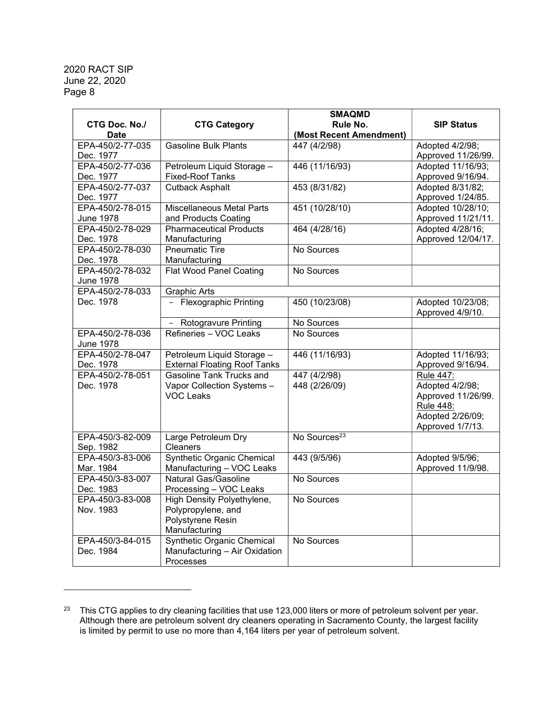|                      |                                     | <b>SMAQMD</b>            |                    |
|----------------------|-------------------------------------|--------------------------|--------------------|
| <b>CTG Doc. No./</b> | <b>CTG Category</b>                 | Rule No.                 | <b>SIP Status</b>  |
| <b>Date</b>          |                                     | (Most Recent Amendment)  |                    |
| EPA-450/2-77-035     | <b>Gasoline Bulk Plants</b>         | 447 (4/2/98)             | Adopted 4/2/98;    |
| Dec. 1977            |                                     |                          | Approved 11/26/99. |
| EPA-450/2-77-036     | Petroleum Liquid Storage -          | 446 (11/16/93)           | Adopted 11/16/93;  |
| Dec. 1977            | <b>Fixed-Roof Tanks</b>             |                          | Approved 9/16/94.  |
| EPA-450/2-77-037     | <b>Cutback Asphalt</b>              | 453 (8/31/82)            | Adopted 8/31/82;   |
| Dec. 1977            |                                     |                          | Approved 1/24/85.  |
| EPA-450/2-78-015     | <b>Miscellaneous Metal Parts</b>    | 451 (10/28/10)           | Adopted 10/28/10;  |
| <b>June 1978</b>     | and Products Coating                |                          | Approved 11/21/11. |
| EPA-450/2-78-029     | <b>Pharmaceutical Products</b>      | 464 (4/28/16)            | Adopted 4/28/16;   |
| Dec. 1978            | Manufacturing                       |                          | Approved 12/04/17. |
| EPA-450/2-78-030     | <b>Pneumatic Tire</b>               | No Sources               |                    |
| Dec. 1978            | Manufacturing                       |                          |                    |
| EPA-450/2-78-032     | <b>Flat Wood Panel Coating</b>      | No Sources               |                    |
| <b>June 1978</b>     |                                     |                          |                    |
| EPA-450/2-78-033     | <b>Graphic Arts</b>                 |                          |                    |
| Dec. 1978            | - Flexographic Printing             | 450 (10/23/08)           | Adopted 10/23/08;  |
|                      |                                     |                          | Approved 4/9/10.   |
|                      | <b>Rotogravure Printing</b>         | No Sources               |                    |
| EPA-450/2-78-036     | Refineries - VOC Leaks              | No Sources               |                    |
| <b>June 1978</b>     |                                     |                          |                    |
| EPA-450/2-78-047     | Petroleum Liquid Storage -          | 446 (11/16/93)           | Adopted 11/16/93;  |
| Dec. 1978            | <b>External Floating Roof Tanks</b> |                          | Approved 9/16/94.  |
| EPA-450/2-78-051     | <b>Gasoline Tank Trucks and</b>     | 447 (4/2/98)             | <b>Rule 447:</b>   |
| Dec. 1978            | Vapor Collection Systems -          | 448 (2/26/09)            | Adopted 4/2/98;    |
|                      | <b>VOC Leaks</b>                    |                          | Approved 11/26/99. |
|                      |                                     |                          | <b>Rule 448:</b>   |
|                      |                                     |                          | Adopted 2/26/09;   |
|                      |                                     |                          | Approved 1/7/13.   |
| EPA-450/3-82-009     | Large Petroleum Dry                 | No Sources <sup>23</sup> |                    |
| Sep. 1982            | <b>Cleaners</b>                     |                          |                    |
| EPA-450/3-83-006     | <b>Synthetic Organic Chemical</b>   | 443 (9/5/96)             | Adopted 9/5/96;    |
| Mar. 1984            | Manufacturing - VOC Leaks           |                          | Approved 11/9/98.  |
| EPA-450/3-83-007     | <b>Natural Gas/Gasoline</b>         | No Sources               |                    |
| Dec. 1983            | Processing - VOC Leaks              |                          |                    |
| EPA-450/3-83-008     | <b>High Density Polyethylene,</b>   | No Sources               |                    |
| Nov. 1983            | Polypropylene, and                  |                          |                    |
|                      | Polystyrene Resin                   |                          |                    |
|                      | Manufacturing                       |                          |                    |
| EPA-450/3-84-015     | <b>Synthetic Organic Chemical</b>   | No Sources               |                    |
| Dec. 1984            | Manufacturing - Air Oxidation       |                          |                    |
|                      | Processes                           |                          |                    |

 $^{23}$  This CTG applies to dry cleaning facilities that use 123,000 liters or more of petroleum solvent per year. Although there are petroleum solvent dry cleaners operating in Sacramento County, the largest facility is limited by permit to use no more than 4,164 liters per year of petroleum solvent.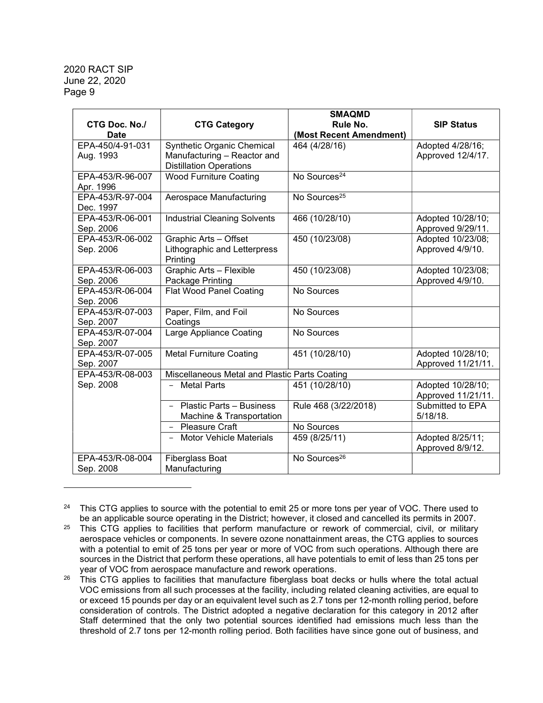| <b>CTG Doc. No./</b><br><b>Date</b> | <b>CTG Category</b>                                               | <b>SMAQMD</b><br>Rule No.<br>(Most Recent Amendment) | <b>SIP Status</b>                       |
|-------------------------------------|-------------------------------------------------------------------|------------------------------------------------------|-----------------------------------------|
| EPA-450/4-91-031                    | Synthetic Organic Chemical                                        | 464 (4/28/16)                                        | Adopted 4/28/16;                        |
| Aug. 1993                           | Manufacturing - Reactor and<br><b>Distillation Operations</b>     |                                                      | Approved 12/4/17.                       |
| EPA-453/R-96-007<br>Apr. 1996       | <b>Wood Furniture Coating</b>                                     | No Sources <sup>24</sup>                             |                                         |
| EPA-453/R-97-004<br>Dec. 1997       | Aerospace Manufacturing                                           | No Sources <sup>25</sup>                             |                                         |
| EPA-453/R-06-001<br>Sep. 2006       | <b>Industrial Cleaning Solvents</b>                               | 466 (10/28/10)                                       | Adopted 10/28/10;<br>Approved 9/29/11.  |
| EPA-453/R-06-002<br>Sep. 2006       | Graphic Arts - Offset<br>Lithographic and Letterpress<br>Printing | 450 (10/23/08)                                       | Adopted 10/23/08;<br>Approved 4/9/10.   |
| EPA-453/R-06-003<br>Sep. 2006       | Graphic Arts - Flexible<br>Package Printing                       | 450 (10/23/08)                                       | Adopted 10/23/08;<br>Approved 4/9/10.   |
| EPA-453/R-06-004<br>Sep. 2006       | <b>Flat Wood Panel Coating</b>                                    | No Sources                                           |                                         |
| EPA-453/R-07-003<br>Sep. 2007       | Paper, Film, and Foil<br>Coatings                                 | No Sources                                           |                                         |
| EPA-453/R-07-004<br>Sep. 2007       | Large Appliance Coating                                           | No Sources                                           |                                         |
| EPA-453/R-07-005<br>Sep. 2007       | <b>Metal Furniture Coating</b>                                    | 451 (10/28/10)                                       | Adopted 10/28/10;<br>Approved 11/21/11. |
| EPA-453/R-08-003                    | Miscellaneous Metal and Plastic Parts Coating                     |                                                      |                                         |
| Sep. 2008                           | <b>Metal Parts</b><br>$\overline{\phantom{0}}$                    | 451 (10/28/10)                                       | Adopted 10/28/10;<br>Approved 11/21/11. |
|                                     | <b>Plastic Parts - Business</b><br>Machine & Transportation       | Rule 468 (3/22/2018)                                 | Submitted to EPA<br>$5/18/18$ .         |
|                                     | - Pleasure Craft                                                  | No Sources                                           |                                         |
|                                     | <b>Motor Vehicle Materials</b><br>$-$                             | 459 (8/25/11)                                        | Adopted 8/25/11;<br>Approved 8/9/12.    |
| EPA-453/R-08-004<br>Sep. 2008       | Fiberglass Boat<br>Manufacturing                                  | No Sources <sup>26</sup>                             |                                         |

<sup>&</sup>lt;sup>24</sup> This CTG applies to source with the potential to emit 25 or more tons per year of VOC. There used to be an applicable source operating in the District; however, it closed and cancelled its permits in 2007.

<sup>&</sup>lt;sup>25</sup> This CTG applies to facilities that perform manufacture or rework of commercial, civil, or military aerospace vehicles or components. In severe ozone nonattainment areas, the CTG applies to sources with a potential to emit of 25 tons per year or more of VOC from such operations. Although there are sources in the District that perform these operations, all have potentials to emit of less than 25 tons per year of VOC from aerospace manufacture and rework operations.

<sup>&</sup>lt;sup>26</sup> This CTG applies to facilities that manufacture fiberglass boat decks or hulls where the total actual VOC emissions from all such processes at the facility, including related cleaning activities, are equal to or exceed 15 pounds per day or an equivalent level such as 2.7 tons per 12-month rolling period, before consideration of controls. The District adopted a negative declaration for this category in 2012 after Staff determined that the only two potential sources identified had emissions much less than the threshold of 2.7 tons per 12-month rolling period. Both facilities have since gone out of business, and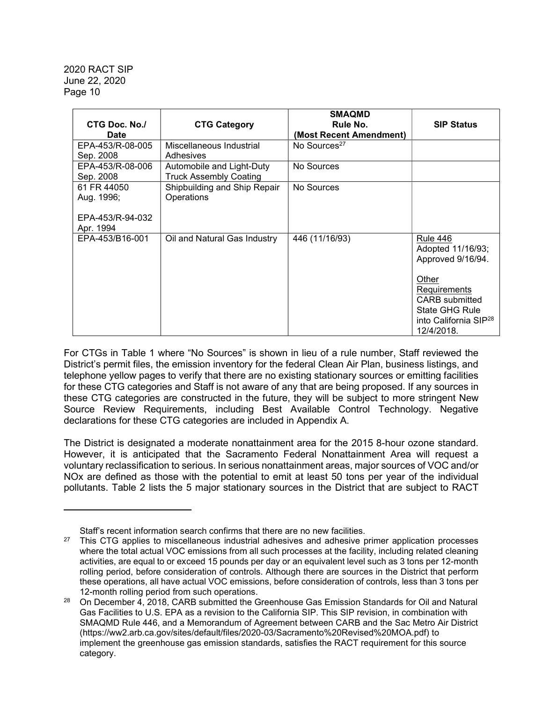| CTG Doc. No./<br><b>Date</b>                               | <b>CTG Category</b>                                        | <b>SMAQMD</b><br>Rule No.<br>(Most Recent Amendment) | <b>SIP Status</b>                                                                                                                                                                       |
|------------------------------------------------------------|------------------------------------------------------------|------------------------------------------------------|-----------------------------------------------------------------------------------------------------------------------------------------------------------------------------------------|
| EPA-453/R-08-005<br>Sep. 2008                              | Miscellaneous Industrial<br>Adhesives                      | No Sources <sup>27</sup>                             |                                                                                                                                                                                         |
| EPA-453/R-08-006<br>Sep. 2008                              | Automobile and Light-Duty<br><b>Truck Assembly Coating</b> | No Sources                                           |                                                                                                                                                                                         |
| 61 FR 44050<br>Aug. 1996;<br>EPA-453/R-94-032<br>Apr. 1994 | Shipbuilding and Ship Repair<br>Operations                 | No Sources                                           |                                                                                                                                                                                         |
| EPA-453/B16-001                                            | Oil and Natural Gas Industry                               | 446 (11/16/93)                                       | <b>Rule 446</b><br>Adopted 11/16/93;<br>Approved 9/16/94.<br>Other<br>Requirements<br><b>CARB</b> submitted<br><b>State GHG Rule</b><br>into California SIP <sup>28</sup><br>12/4/2018. |

For CTGs in Table 1 where "No Sources" is shown in lieu of a rule number, Staff reviewed the District's permit files, the emission inventory for the federal Clean Air Plan, business listings, and telephone yellow pages to verify that there are no existing stationary sources or emitting facilities for these CTG categories and Staff is not aware of any that are being proposed. If any sources in these CTG categories are constructed in the future, they will be subject to more stringent New Source Review Requirements, including Best Available Control Technology. Negative declarations for these CTG categories are included in Appendix A.

The District is designated a moderate nonattainment area for the 2015 8-hour ozone standard. However, it is anticipated that the Sacramento Federal Nonattainment Area will request a voluntary reclassification to serious. In serious nonattainment areas, major sources of VOC and/or NOx are defined as those with the potential to emit at least 50 tons per year of the individual pollutants. Table 2 lists the 5 major stationary sources in the District that are subject to RACT

Staff's recent information search confirms that there are no new facilities.

 $27$  This CTG applies to miscellaneous industrial adhesives and adhesive primer application processes where the total actual VOC emissions from all such processes at the facility, including related cleaning activities, are equal to or exceed 15 pounds per day or an equivalent level such as 3 tons per 12-month rolling period, before consideration of controls. Although there are sources in the District that perform these operations, all have actual VOC emissions, before consideration of controls, less than 3 tons per 12-month rolling period from such operations.

 $28$  On December 4, 2018, CARB submitted the Greenhouse Gas Emission Standards for Oil and Natural Gas Facilities to U.S. EPA as a revision to the California SIP. This SIP revision, in combination with SMAQMD Rule 446, and a Memorandum of Agreement between CARB and the Sac Metro Air District (https://ww2.arb.ca.gov/sites/default/files/2020-03/Sacramento%20Revised%20MOA.pdf) to implement the greenhouse gas emission standards, satisfies the RACT requirement for this source category.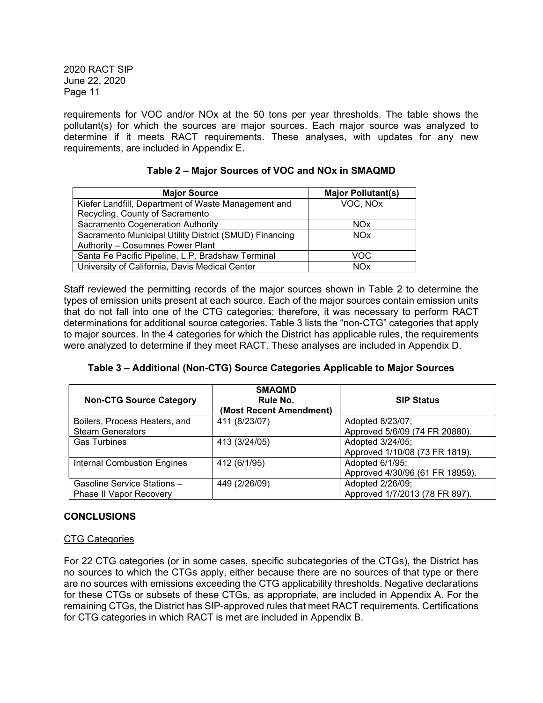requirements for VOC and/or NOx at the 50 tons per year thresholds. The table shows the pollutant(s) for which the sources are major sources. Each major source was analyzed to determine if it meets RACT requirements. These analyses, with updates for any new requirements, are included in Appendix E.

| <b>Major Source</b>                                    | <b>Major Pollutant(s)</b> |
|--------------------------------------------------------|---------------------------|
| Kiefer Landfill, Department of Waste Management and    | VOC, NOx                  |
| Recycling, County of Sacramento                        |                           |
| Sacramento Cogeneration Authority                      | <b>NOx</b>                |
| Sacramento Municipal Utility District (SMUD) Financing | <b>NOx</b>                |
| Authority - Cosumnes Power Plant                       |                           |
| Santa Fe Pacific Pipeline, L.P. Bradshaw Terminal      | VOC                       |
| University of California, Davis Medical Center         | <b>NOx</b>                |

## Table 2 – Major Sources of VOC and NOx in SMAQMD

Staff reviewed the permitting records of the major sources shown in Table 2 to determine the types of emission units present at each source. Each of the major sources contain emission units that do not fall into one of the CTG categories; therefore, it was necessary to perform RACT determinations for additional source categories. Table 3 lists the "non-CTG" categories that apply to major sources. In the 4 categories for which the District has applicable rules, the requirements were analyzed to determine if they meet RACT. These analyses are included in Appendix D.

Table 3 – Additional (Non-CTG) Source Categories Applicable to Major Sources

| <b>Non-CTG Source Category</b>     | <b>SMAQMD</b><br>Rule No.<br>(Most Recent Amendment) | <b>SIP Status</b>               |
|------------------------------------|------------------------------------------------------|---------------------------------|
| Boilers, Process Heaters, and      | 411 (8/23/07)                                        | Adopted 8/23/07;                |
| <b>Steam Generators</b>            |                                                      | Approved 5/6/09 (74 FR 20880).  |
| <b>Gas Turbines</b>                | 413 (3/24/05)                                        | Adopted 3/24/05;                |
|                                    |                                                      | Approved 1/10/08 (73 FR 1819).  |
| <b>Internal Combustion Engines</b> | 412 (6/1/95)                                         | Adopted 6/1/95;                 |
|                                    |                                                      | Approved 4/30/96 (61 FR 18959). |
| Gasoline Service Stations -        | 449 (2/26/09)                                        | Adopted 2/26/09;                |
| <b>Phase II Vapor Recovery</b>     |                                                      | Approved 1/7/2013 (78 FR 897).  |

## CONCLUSIONS

## CTG Categories

For 22 CTG categories (or in some cases, specific subcategories of the CTGs), the District has no sources to which the CTGs apply, either because there are no sources of that type or there are no sources with emissions exceeding the CTG applicability thresholds. Negative declarations for these CTGs or subsets of these CTGs, as appropriate, are included in Appendix A. For the remaining CTGs, the District has SIP-approved rules that meet RACT requirements. Certifications for CTG categories in which RACT is met are included in Appendix B.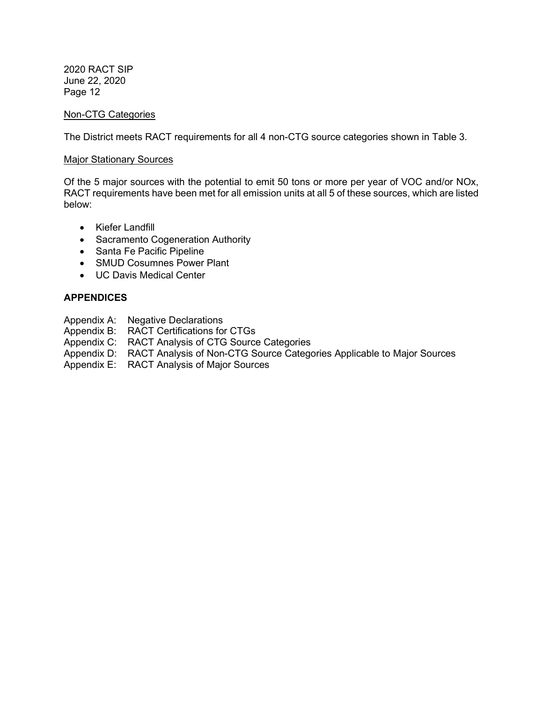#### Non-CTG Categories

The District meets RACT requirements for all 4 non-CTG source categories shown in Table 3.

#### **Major Stationary Sources**

Of the 5 major sources with the potential to emit 50 tons or more per year of VOC and/or NOx, RACT requirements have been met for all emission units at all 5 of these sources, which are listed below:

- Kiefer Landfill
- Sacramento Cogeneration Authority
- Santa Fe Pacific Pipeline
- SMUD Cosumnes Power Plant
- UC Davis Medical Center

## **APPENDICES**

- Appendix A: Negative Declarations
- Appendix B: RACT Certifications for CTGs
- Appendix C: RACT Analysis of CTG Source Categories
- Appendix D: RACT Analysis of Non-CTG Source Categories Applicable to Major Sources
- Appendix E: RACT Analysis of Major Sources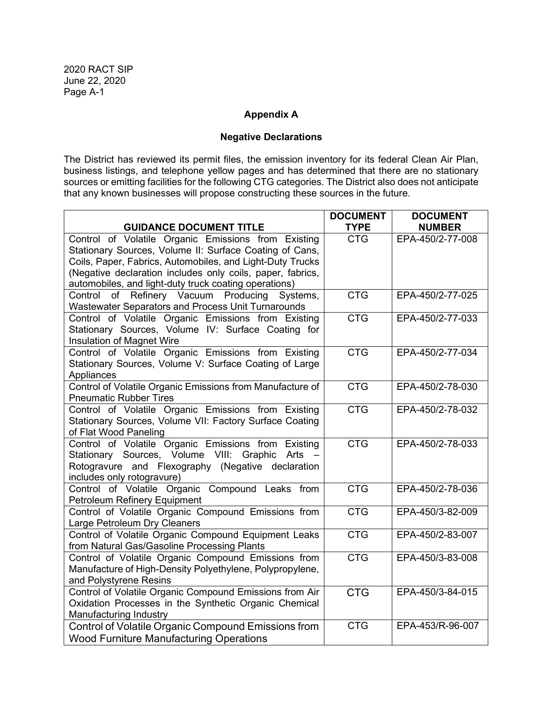## Appendix A

# Negative Declarations

The District has reviewed its permit files, the emission inventory for its federal Clean Air Plan, business listings, and telephone yellow pages and has determined that there are no stationary sources or emitting facilities for the following CTG categories. The District also does not anticipate that any known businesses will propose constructing these sources in the future.

|                                                                                                                                                                                                                                                                                                    | <b>DOCUMENT</b> | <b>DOCUMENT</b>  |
|----------------------------------------------------------------------------------------------------------------------------------------------------------------------------------------------------------------------------------------------------------------------------------------------------|-----------------|------------------|
| <b>GUIDANCE DOCUMENT TITLE</b>                                                                                                                                                                                                                                                                     | <b>TYPE</b>     | <b>NUMBER</b>    |
| Control of Volatile Organic Emissions from Existing<br>Stationary Sources, Volume II: Surface Coating of Cans,<br>Coils, Paper, Fabrics, Automobiles, and Light-Duty Trucks<br>(Negative declaration includes only coils, paper, fabrics,<br>automobiles, and light-duty truck coating operations) | <b>CTG</b>      | EPA-450/2-77-008 |
| of Refinery Vacuum Producing<br>Control<br>Systems,<br>Wastewater Separators and Process Unit Turnarounds                                                                                                                                                                                          | <b>CTG</b>      | EPA-450/2-77-025 |
| Control of Volatile Organic Emissions from Existing<br>Stationary Sources, Volume IV: Surface Coating for<br>Insulation of Magnet Wire                                                                                                                                                             | <b>CTG</b>      | EPA-450/2-77-033 |
| Control of Volatile Organic Emissions from Existing<br>Stationary Sources, Volume V: Surface Coating of Large<br>Appliances                                                                                                                                                                        | <b>CTG</b>      | EPA-450/2-77-034 |
| Control of Volatile Organic Emissions from Manufacture of<br><b>Pneumatic Rubber Tires</b>                                                                                                                                                                                                         | <b>CTG</b>      | EPA-450/2-78-030 |
| Control of Volatile Organic Emissions from Existing<br>Stationary Sources, Volume VII: Factory Surface Coating<br>of Flat Wood Paneling                                                                                                                                                            | <b>CTG</b>      | EPA-450/2-78-032 |
| Control of Volatile Organic Emissions from Existing<br>Stationary Sources, Volume VIII: Graphic Arts -<br>Rotogravure and Flexography (Negative declaration<br>includes only rotogravure)                                                                                                          | <b>CTG</b>      | EPA-450/2-78-033 |
| Control of Volatile Organic Compound Leaks from<br>Petroleum Refinery Equipment                                                                                                                                                                                                                    | <b>CTG</b>      | EPA-450/2-78-036 |
| Control of Volatile Organic Compound Emissions from<br>Large Petroleum Dry Cleaners                                                                                                                                                                                                                | <b>CTG</b>      | EPA-450/3-82-009 |
| Control of Volatile Organic Compound Equipment Leaks<br>from Natural Gas/Gasoline Processing Plants                                                                                                                                                                                                | <b>CTG</b>      | EPA-450/2-83-007 |
| Control of Volatile Organic Compound Emissions from<br>Manufacture of High-Density Polyethylene, Polypropylene,<br>and Polystyrene Resins                                                                                                                                                          | <b>CTG</b>      | EPA-450/3-83-008 |
| Control of Volatile Organic Compound Emissions from Air<br>Oxidation Processes in the Synthetic Organic Chemical<br>Manufacturing Industry                                                                                                                                                         | <b>CTG</b>      | EPA-450/3-84-015 |
| Control of Volatile Organic Compound Emissions from<br><b>Wood Furniture Manufacturing Operations</b>                                                                                                                                                                                              | <b>CTG</b>      | EPA-453/R-96-007 |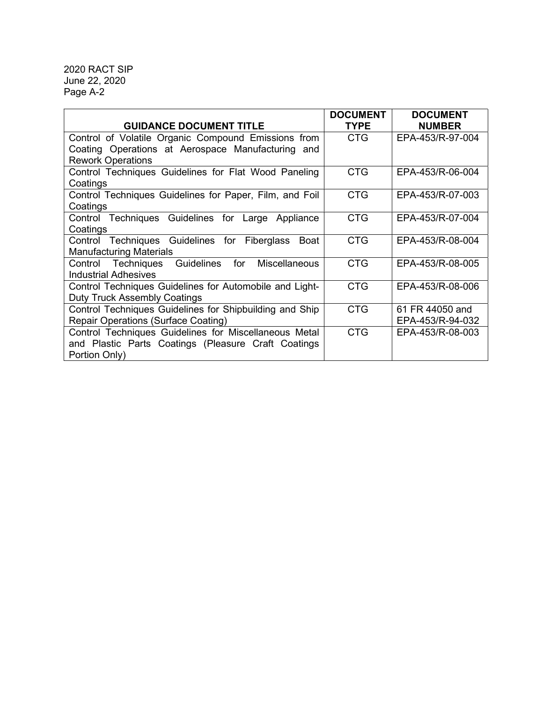| <b>GUIDANCE DOCUMENT TITLE</b>                                         | <b>DOCUMENT</b><br><b>TYPE</b> | <b>DOCUMENT</b><br><b>NUMBER</b> |
|------------------------------------------------------------------------|--------------------------------|----------------------------------|
| Control of Volatile Organic Compound Emissions from                    | CTG                            | EPA-453/R-97-004                 |
| Coating Operations at Aerospace Manufacturing and                      |                                |                                  |
| <b>Rework Operations</b>                                               |                                |                                  |
| Control Techniques Guidelines for Flat Wood Paneling                   | <b>CTG</b>                     | EPA-453/R-06-004                 |
| Coatings                                                               |                                |                                  |
| Control Techniques Guidelines for Paper, Film, and Foil                | <b>CTG</b>                     | EPA-453/R-07-003                 |
| Coatings                                                               |                                |                                  |
| Control Techniques Guidelines for Large Appliance                      | <b>CTG</b>                     | EPA-453/R-07-004                 |
| Coatings                                                               |                                |                                  |
| Control Techniques Guidelines for Fiberglass<br>Boat                   | <b>CTG</b>                     | EPA-453/R-08-004                 |
| <b>Manufacturing Materials</b>                                         |                                |                                  |
| Control Techniques<br><b>Guidelines</b><br>for<br><b>Miscellaneous</b> | <b>CTG</b>                     | EPA-453/R-08-005                 |
| Industrial Adhesives                                                   |                                |                                  |
| Control Techniques Guidelines for Automobile and Light-                | <b>CTG</b>                     | EPA-453/R-08-006                 |
| <b>Duty Truck Assembly Coatings</b>                                    |                                |                                  |
| Control Techniques Guidelines for Shipbuilding and Ship                | <b>CTG</b>                     | 61 FR 44050 and                  |
| Repair Operations (Surface Coating)                                    |                                | EPA-453/R-94-032                 |
| Control Techniques Guidelines for Miscellaneous Metal                  | <b>CTG</b>                     | EPA-453/R-08-003                 |
| and Plastic Parts Coatings (Pleasure Craft Coatings                    |                                |                                  |
| Portion Only)                                                          |                                |                                  |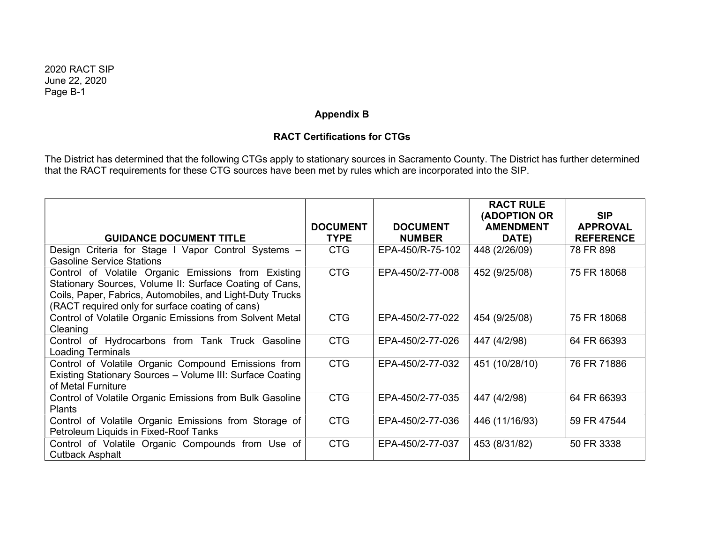## Appendix B

## RACT Certifications for CTGs

The District has determined that the following CTGs apply to stationary sources in Sacramento County. The District has further determined that the RACT requirements for these CTG sources have been met by rules which are incorporated into the SIP.

|                                                           |                 |                  | <b>RACT RULE</b><br>(ADOPTION OR | <b>SIP</b>       |
|-----------------------------------------------------------|-----------------|------------------|----------------------------------|------------------|
|                                                           | <b>DOCUMENT</b> | <b>DOCUMENT</b>  | <b>AMENDMENT</b>                 | <b>APPROVAL</b>  |
| <b>GUIDANCE DOCUMENT TITLE</b>                            | <b>TYPE</b>     | <b>NUMBER</b>    | DATE)                            | <b>REFERENCE</b> |
| Design Criteria for Stage I Vapor Control Systems -       | <b>CTG</b>      | EPA-450/R-75-102 | 448 (2/26/09)                    | 78 FR 898        |
| <b>Gasoline Service Stations</b>                          |                 |                  |                                  |                  |
| Control of Volatile Organic Emissions from Existing       | <b>CTG</b>      | EPA-450/2-77-008 | 452 (9/25/08)                    | 75 FR 18068      |
| Stationary Sources, Volume II: Surface Coating of Cans,   |                 |                  |                                  |                  |
| Coils, Paper, Fabrics, Automobiles, and Light-Duty Trucks |                 |                  |                                  |                  |
| (RACT required only for surface coating of cans)          |                 |                  |                                  |                  |
| Control of Volatile Organic Emissions from Solvent Metal  | <b>CTG</b>      | EPA-450/2-77-022 | 454 (9/25/08)                    | 75 FR 18068      |
| Cleaning                                                  |                 |                  |                                  |                  |
| Control of Hydrocarbons from Tank Truck Gasoline          | <b>CTG</b>      | EPA-450/2-77-026 | 447 (4/2/98)                     | 64 FR 66393      |
| <b>Loading Terminals</b>                                  |                 |                  |                                  |                  |
| Control of Volatile Organic Compound Emissions from       | <b>CTG</b>      | EPA-450/2-77-032 | 451 (10/28/10)                   | 76 FR 71886      |
| Existing Stationary Sources - Volume III: Surface Coating |                 |                  |                                  |                  |
| of Metal Furniture                                        |                 |                  |                                  |                  |
| Control of Volatile Organic Emissions from Bulk Gasoline  | <b>CTG</b>      | EPA-450/2-77-035 | 447 (4/2/98)                     | 64 FR 66393      |
| <b>Plants</b>                                             |                 |                  |                                  |                  |
| Control of Volatile Organic Emissions from Storage of     | <b>CTG</b>      | EPA-450/2-77-036 | 446 (11/16/93)                   | 59 FR 47544      |
| Petroleum Liquids in Fixed-Roof Tanks                     |                 |                  |                                  |                  |
| Control of Volatile Organic Compounds from Use of         | <b>CTG</b>      | EPA-450/2-77-037 | 453 (8/31/82)                    | 50 FR 3338       |
| <b>Cutback Asphalt</b>                                    |                 |                  |                                  |                  |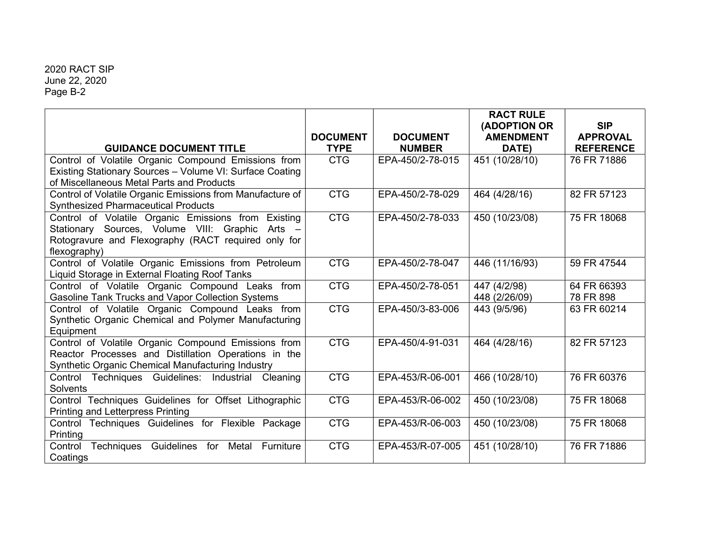|                                                                                                             |                 |                  | <b>RACT RULE</b>                 |                               |
|-------------------------------------------------------------------------------------------------------------|-----------------|------------------|----------------------------------|-------------------------------|
|                                                                                                             | <b>DOCUMENT</b> | <b>DOCUMENT</b>  | (ADOPTION OR<br><b>AMENDMENT</b> | <b>SIP</b><br><b>APPROVAL</b> |
| <b>GUIDANCE DOCUMENT TITLE</b>                                                                              | <b>TYPE</b>     | <b>NUMBER</b>    | DATE)                            | <b>REFERENCE</b>              |
| Control of Volatile Organic Compound Emissions from                                                         | <b>CTG</b>      | EPA-450/2-78-015 | 451 (10/28/10)                   | 76 FR 71886                   |
| Existing Stationary Sources - Volume VI: Surface Coating                                                    |                 |                  |                                  |                               |
| of Miscellaneous Metal Parts and Products                                                                   |                 |                  |                                  |                               |
| Control of Volatile Organic Emissions from Manufacture of                                                   | <b>CTG</b>      | EPA-450/2-78-029 | 464 (4/28/16)                    | 82 FR 57123                   |
| <b>Synthesized Pharmaceutical Products</b>                                                                  |                 |                  |                                  |                               |
| Control of Volatile Organic Emissions from Existing                                                         | <b>CTG</b>      | EPA-450/2-78-033 | 450 (10/23/08)                   | 75 FR 18068                   |
| Stationary Sources, Volume VIII: Graphic<br>Arts $-$                                                        |                 |                  |                                  |                               |
| Rotogravure and Flexography (RACT required only for                                                         |                 |                  |                                  |                               |
| flexography)                                                                                                |                 |                  |                                  |                               |
| Control of Volatile Organic Emissions from Petroleum                                                        | <b>CTG</b>      | EPA-450/2-78-047 | 446 (11/16/93)                   | 59 FR 47544                   |
| Liquid Storage in External Floating Roof Tanks                                                              | <b>CTG</b>      | EPA-450/2-78-051 |                                  | 64 FR 66393                   |
| Control of Volatile Organic Compound Leaks from<br><b>Gasoline Tank Trucks and Vapor Collection Systems</b> |                 |                  | 447 (4/2/98)<br>448 (2/26/09)    | 78 FR 898                     |
| Control of Volatile Organic Compound Leaks from                                                             | <b>CTG</b>      | EPA-450/3-83-006 | 443 (9/5/96)                     | 63 FR 60214                   |
| Synthetic Organic Chemical and Polymer Manufacturing                                                        |                 |                  |                                  |                               |
| Equipment                                                                                                   |                 |                  |                                  |                               |
| Control of Volatile Organic Compound Emissions from                                                         | <b>CTG</b>      | EPA-450/4-91-031 | 464 (4/28/16)                    | 82 FR 57123                   |
| Reactor Processes and Distillation Operations in the                                                        |                 |                  |                                  |                               |
| Synthetic Organic Chemical Manufacturing Industry                                                           |                 |                  |                                  |                               |
| Control Techniques Guidelines: Industrial Cleaning                                                          | <b>CTG</b>      | EPA-453/R-06-001 | 466 (10/28/10)                   | 76 FR 60376                   |
| <b>Solvents</b>                                                                                             |                 |                  |                                  |                               |
| Control Techniques Guidelines for Offset Lithographic                                                       | <b>CTG</b>      | EPA-453/R-06-002 | 450 (10/23/08)                   | 75 FR 18068                   |
| <b>Printing and Letterpress Printing</b>                                                                    |                 |                  |                                  |                               |
| Control Techniques Guidelines for Flexible Package                                                          | <b>CTG</b>      | EPA-453/R-06-003 | 450 (10/23/08)                   | 75 FR 18068                   |
| Printing                                                                                                    |                 |                  |                                  |                               |
| Guidelines<br>Techniques<br>for<br>Metal<br>Furniture<br>Control                                            | <b>CTG</b>      | EPA-453/R-07-005 | 451 (10/28/10)                   | 76 FR 71886                   |
| Coatings                                                                                                    |                 |                  |                                  |                               |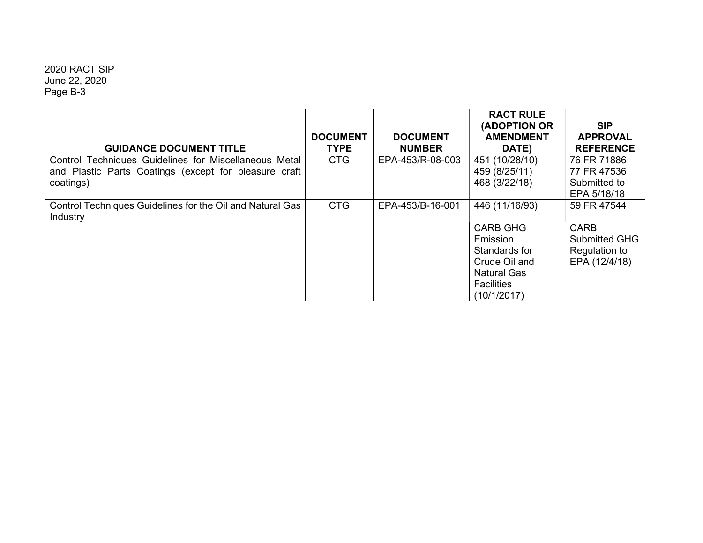| <b>GUIDANCE DOCUMENT TITLE</b>                                                                                              | <b>DOCUMENT</b><br><b>TYPE</b> | <b>DOCUMENT</b><br><b>NUMBER</b> | <b>RACT RULE</b><br><b>(ADOPTION OR</b><br><b>AMENDMENT</b><br>DATE)                                                                      | <b>SIP</b><br><b>APPROVAL</b><br><b>REFERENCE</b>                                    |
|-----------------------------------------------------------------------------------------------------------------------------|--------------------------------|----------------------------------|-------------------------------------------------------------------------------------------------------------------------------------------|--------------------------------------------------------------------------------------|
| Control Techniques Guidelines for Miscellaneous Metal<br>and Plastic Parts Coatings (except for pleasure craft<br>coatings) | <b>CTG</b>                     | EPA-453/R-08-003                 | 451 (10/28/10)<br>459 (8/25/11)<br>468 (3/22/18)                                                                                          | 76 FR 71886<br>77 FR 47536<br>Submitted to<br>EPA 5/18/18                            |
| Control Techniques Guidelines for the Oil and Natural Gas<br>Industry                                                       | <b>CTG</b>                     | EPA-453/B-16-001                 | 446 (11/16/93)<br><b>CARB GHG</b><br>Emission<br>Standards for<br>Crude Oil and<br><b>Natural Gas</b><br><b>Facilities</b><br>(10/1/2017) | 59 FR 47544<br><b>CARB</b><br><b>Submitted GHG</b><br>Regulation to<br>EPA (12/4/18) |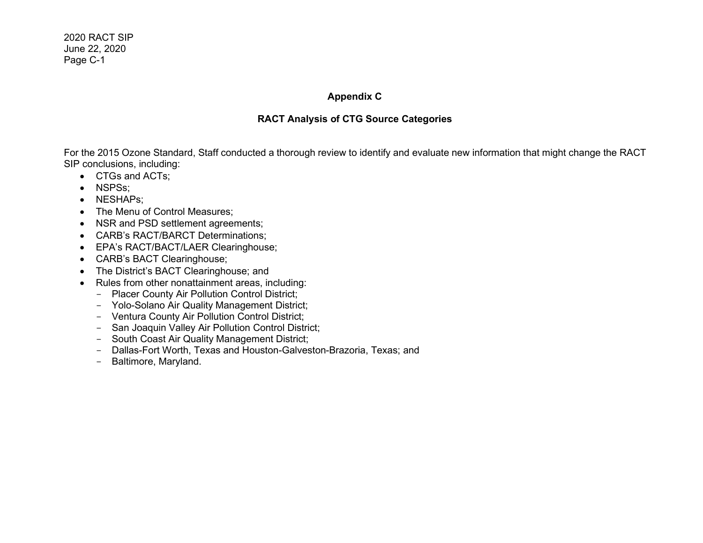## Appendix C

## RACT Analysis of CTG Source Categories

For the 2015 Ozone Standard, Staff conducted a thorough review to identify and evaluate new information that might change the RACT SIP conclusions, including:

- CTGs and ACTs;
- NSPSs;
- NESHAPs;
- The Menu of Control Measures;
- NSR and PSD settlement agreements;
- CARB's RACT/BARCT Determinations;
- EPA's RACT/BACT/LAER Clearinghouse;
- CARB's BACT Clearinghouse;
- The District's BACT Clearinghouse; and
- Rules from other nonattainment areas, including:
	- Placer County Air Pollution Control District;
	- Yolo-Solano Air Quality Management District;
	- Ventura County Air Pollution Control District;
	- San Joaquin Valley Air Pollution Control District;
	- South Coast Air Quality Management District;
	- Dallas-Fort Worth, Texas and Houston-Galveston-Brazoria, Texas; and
	- Baltimore, Maryland.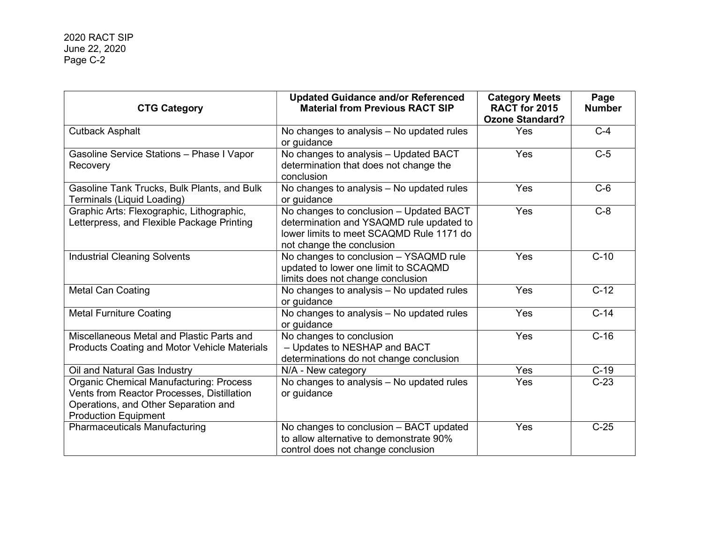| <b>CTG Category</b>                                                                                                                                                 | <b>Updated Guidance and/or Referenced</b><br><b>Material from Previous RACT SIP</b>                                                                          | <b>Category Meets</b><br>RACT for 2015<br><b>Ozone Standard?</b> | Page<br><b>Number</b> |  |
|---------------------------------------------------------------------------------------------------------------------------------------------------------------------|--------------------------------------------------------------------------------------------------------------------------------------------------------------|------------------------------------------------------------------|-----------------------|--|
| <b>Cutback Asphalt</b>                                                                                                                                              | No changes to analysis - No updated rules<br>or guidance                                                                                                     | Yes                                                              | $C-4$                 |  |
| Gasoline Service Stations - Phase I Vapor<br>Recovery                                                                                                               | No changes to analysis - Updated BACT<br>determination that does not change the<br>conclusion                                                                | Yes                                                              | $C-5$                 |  |
| Gasoline Tank Trucks, Bulk Plants, and Bulk<br>Terminals (Liquid Loading)                                                                                           | No changes to analysis - No updated rules<br>or guidance                                                                                                     | Yes                                                              | $C-6$                 |  |
| Graphic Arts: Flexographic, Lithographic,<br>Letterpress, and Flexible Package Printing                                                                             | No changes to conclusion - Updated BACT<br>determination and YSAQMD rule updated to<br>lower limits to meet SCAQMD Rule 1171 do<br>not change the conclusion | Yes                                                              | $C-8$                 |  |
| <b>Industrial Cleaning Solvents</b>                                                                                                                                 | No changes to conclusion - YSAQMD rule<br>updated to lower one limit to SCAQMD<br>limits does not change conclusion                                          | Yes                                                              | $C-10$                |  |
| <b>Metal Can Coating</b>                                                                                                                                            | No changes to analysis - No updated rules<br>or guidance                                                                                                     | Yes                                                              | $C-12$                |  |
| <b>Metal Furniture Coating</b>                                                                                                                                      | No changes to analysis - No updated rules<br>or guidance                                                                                                     | Yes                                                              | $C-14$                |  |
| Miscellaneous Metal and Plastic Parts and<br><b>Products Coating and Motor Vehicle Materials</b>                                                                    | No changes to conclusion<br>- Updates to NESHAP and BACT<br>determinations do not change conclusion                                                          | Yes                                                              | $C-16$                |  |
| Oil and Natural Gas Industry                                                                                                                                        | N/A - New category                                                                                                                                           | Yes                                                              | $C-19$                |  |
| Organic Chemical Manufacturing: Process<br><b>Vents from Reactor Processes, Distillation</b><br>Operations, and Other Separation and<br><b>Production Equipment</b> | No changes to analysis - No updated rules<br>or guidance                                                                                                     | <b>Yes</b>                                                       | $C-23$                |  |
| <b>Pharmaceuticals Manufacturing</b>                                                                                                                                | No changes to conclusion - BACT updated<br>to allow alternative to demonstrate 90%<br>control does not change conclusion                                     | Yes                                                              | $C-25$                |  |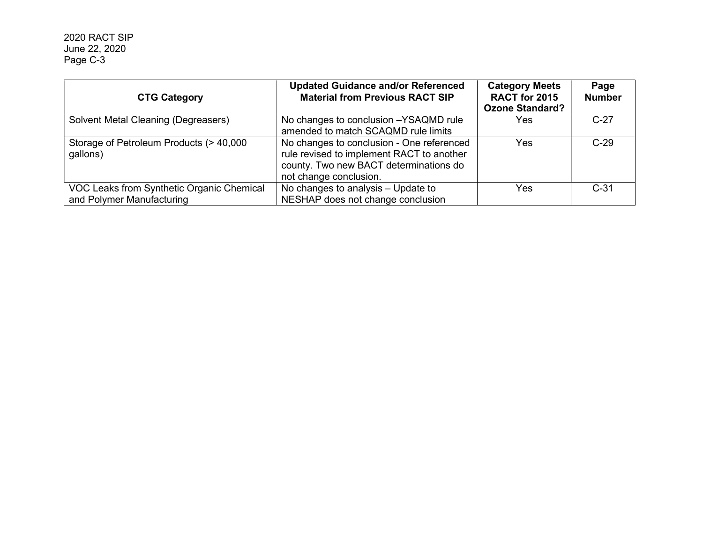| <b>CTG Category</b>                                                    | <b>Updated Guidance and/or Referenced</b><br><b>Material from Previous RACT SIP</b>                                                                        | <b>Category Meets</b><br>RACT for 2015<br><b>Ozone Standard?</b> | Page<br><b>Number</b> |
|------------------------------------------------------------------------|------------------------------------------------------------------------------------------------------------------------------------------------------------|------------------------------------------------------------------|-----------------------|
| Solvent Metal Cleaning (Degreasers)                                    | No changes to conclusion -YSAQMD rule<br>amended to match SCAQMD rule limits                                                                               | Yes                                                              | $C-27$                |
| Storage of Petroleum Products (> 40,000<br>gallons)                    | No changes to conclusion - One referenced<br>rule revised to implement RACT to another<br>county. Two new BACT determinations do<br>not change conclusion. | Yes                                                              | $C-29$                |
| VOC Leaks from Synthetic Organic Chemical<br>and Polymer Manufacturing | No changes to analysis - Update to<br>NESHAP does not change conclusion                                                                                    | Yes                                                              | $C-31$                |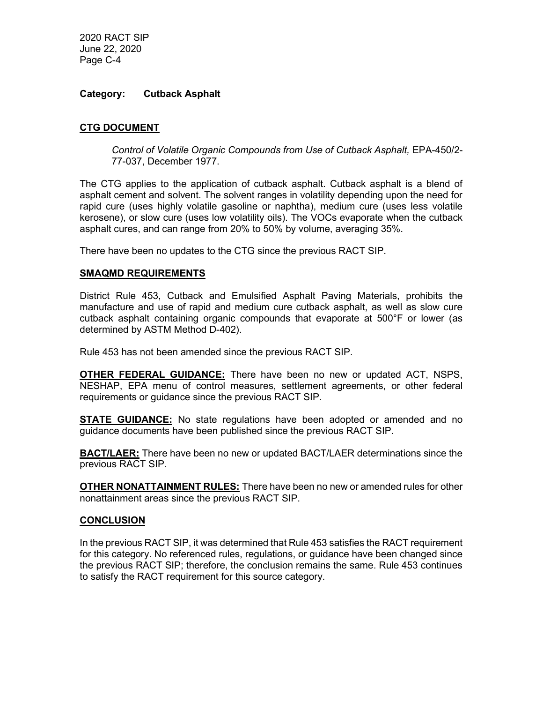#### Category: Cutback Asphalt

## CTG DOCUMENT

Control of Volatile Organic Compounds from Use of Cutback Asphalt, EPA-450/2- 77-037, December 1977.

The CTG applies to the application of cutback asphalt. Cutback asphalt is a blend of asphalt cement and solvent. The solvent ranges in volatility depending upon the need for rapid cure (uses highly volatile gasoline or naphtha), medium cure (uses less volatile kerosene), or slow cure (uses low volatility oils). The VOCs evaporate when the cutback asphalt cures, and can range from 20% to 50% by volume, averaging 35%.

There have been no updates to the CTG since the previous RACT SIP.

## SMAQMD REQUIREMENTS

District Rule 453, Cutback and Emulsified Asphalt Paving Materials, prohibits the manufacture and use of rapid and medium cure cutback asphalt, as well as slow cure cutback asphalt containing organic compounds that evaporate at 500°F or lower (as determined by ASTM Method D-402).

Rule 453 has not been amended since the previous RACT SIP.

**OTHER FEDERAL GUIDANCE:** There have been no new or updated ACT, NSPS, NESHAP, EPA menu of control measures, settlement agreements, or other federal requirements or guidance since the previous RACT SIP.

**STATE GUIDANCE:** No state regulations have been adopted or amended and no guidance documents have been published since the previous RACT SIP.

**BACT/LAER:** There have been no new or updated BACT/LAER determinations since the previous RACT SIP.

**OTHER NONATTAINMENT RULES:** There have been no new or amended rules for other nonattainment areas since the previous RACT SIP.

#### **CONCLUSION**

In the previous RACT SIP, it was determined that Rule 453 satisfies the RACT requirement for this category. No referenced rules, regulations, or guidance have been changed since the previous RACT SIP; therefore, the conclusion remains the same. Rule 453 continues to satisfy the RACT requirement for this source category.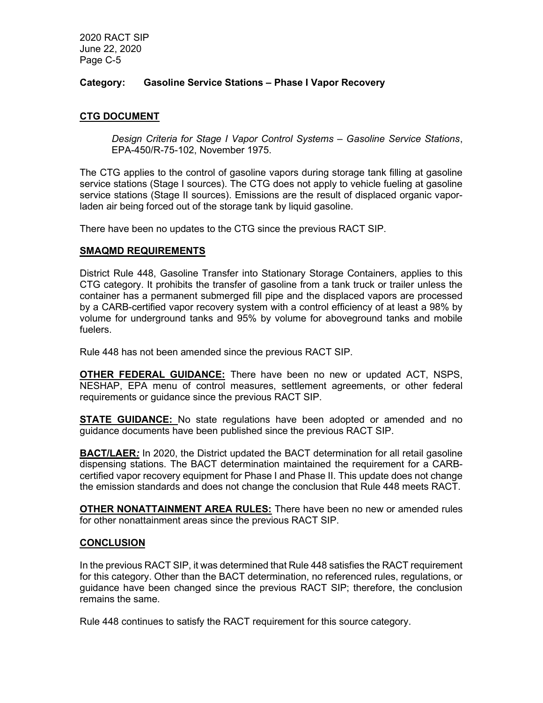## Category: Gasoline Service Stations – Phase I Vapor Recovery

## CTG DOCUMENT

Design Criteria for Stage I Vapor Control Systems – Gasoline Service Stations, EPA-450/R-75-102, November 1975.

The CTG applies to the control of gasoline vapors during storage tank filling at gasoline service stations (Stage I sources). The CTG does not apply to vehicle fueling at gasoline service stations (Stage II sources). Emissions are the result of displaced organic vaporladen air being forced out of the storage tank by liquid gasoline.

There have been no updates to the CTG since the previous RACT SIP.

#### SMAQMD REQUIREMENTS

District Rule 448, Gasoline Transfer into Stationary Storage Containers, applies to this CTG category. It prohibits the transfer of gasoline from a tank truck or trailer unless the container has a permanent submerged fill pipe and the displaced vapors are processed by a CARB-certified vapor recovery system with a control efficiency of at least a 98% by volume for underground tanks and 95% by volume for aboveground tanks and mobile fuelers.

Rule 448 has not been amended since the previous RACT SIP.

**OTHER FEDERAL GUIDANCE:** There have been no new or updated ACT, NSPS, NESHAP, EPA menu of control measures, settlement agreements, or other federal requirements or guidance since the previous RACT SIP.

**STATE GUIDANCE:** No state regulations have been adopted or amended and no guidance documents have been published since the previous RACT SIP.

**BACT/LAER:** In 2020, the District updated the BACT determination for all retail gasoline dispensing stations. The BACT determination maintained the requirement for a CARBcertified vapor recovery equipment for Phase I and Phase II. This update does not change the emission standards and does not change the conclusion that Rule 448 meets RACT.

OTHER NONATTAINMENT AREA RULES: There have been no new or amended rules for other nonattainment areas since the previous RACT SIP.

#### CONCLUSION

In the previous RACT SIP, it was determined that Rule 448 satisfies the RACT requirement for this category. Other than the BACT determination, no referenced rules, regulations, or guidance have been changed since the previous RACT SIP; therefore, the conclusion remains the same.

Rule 448 continues to satisfy the RACT requirement for this source category.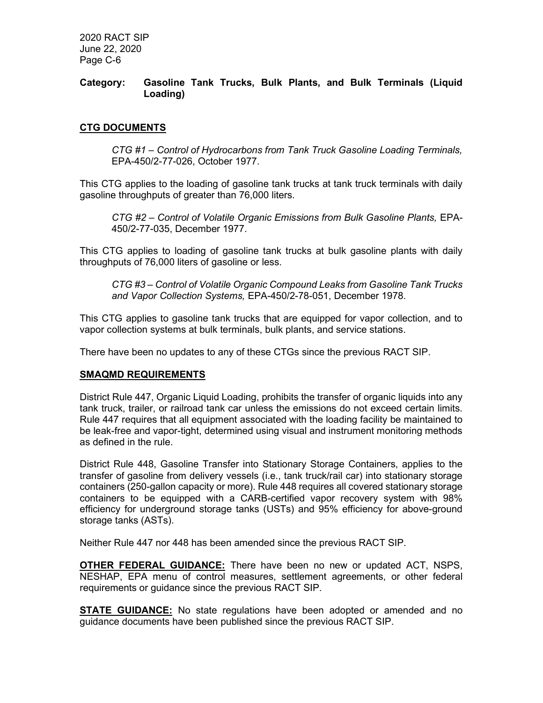## Category: Gasoline Tank Trucks, Bulk Plants, and Bulk Terminals (Liquid Loading)

## CTG DOCUMENTS

CTG #1 – Control of Hydrocarbons from Tank Truck Gasoline Loading Terminals, EPA-450/2-77-026, October 1977.

This CTG applies to the loading of gasoline tank trucks at tank truck terminals with daily gasoline throughputs of greater than 76,000 liters.

CTG #2 – Control of Volatile Organic Emissions from Bulk Gasoline Plants, EPA-450/2-77-035, December 1977.

This CTG applies to loading of gasoline tank trucks at bulk gasoline plants with daily throughputs of 76,000 liters of gasoline or less.

CTG #3 – Control of Volatile Organic Compound Leaks from Gasoline Tank Trucks and Vapor Collection Systems, EPA-450/2-78-051, December 1978.

This CTG applies to gasoline tank trucks that are equipped for vapor collection, and to vapor collection systems at bulk terminals, bulk plants, and service stations.

There have been no updates to any of these CTGs since the previous RACT SIP.

## SMAQMD REQUIREMENTS

District Rule 447, Organic Liquid Loading, prohibits the transfer of organic liquids into any tank truck, trailer, or railroad tank car unless the emissions do not exceed certain limits. Rule 447 requires that all equipment associated with the loading facility be maintained to be leak-free and vapor-tight, determined using visual and instrument monitoring methods as defined in the rule.

District Rule 448, Gasoline Transfer into Stationary Storage Containers, applies to the transfer of gasoline from delivery vessels (i.e., tank truck/rail car) into stationary storage containers (250-gallon capacity or more). Rule 448 requires all covered stationary storage containers to be equipped with a CARB-certified vapor recovery system with 98% efficiency for underground storage tanks (USTs) and 95% efficiency for above-ground storage tanks (ASTs).

Neither Rule 447 nor 448 has been amended since the previous RACT SIP.

OTHER FEDERAL GUIDANCE: There have been no new or updated ACT, NSPS, NESHAP, EPA menu of control measures, settlement agreements, or other federal requirements or guidance since the previous RACT SIP.

**STATE GUIDANCE:** No state regulations have been adopted or amended and no guidance documents have been published since the previous RACT SIP.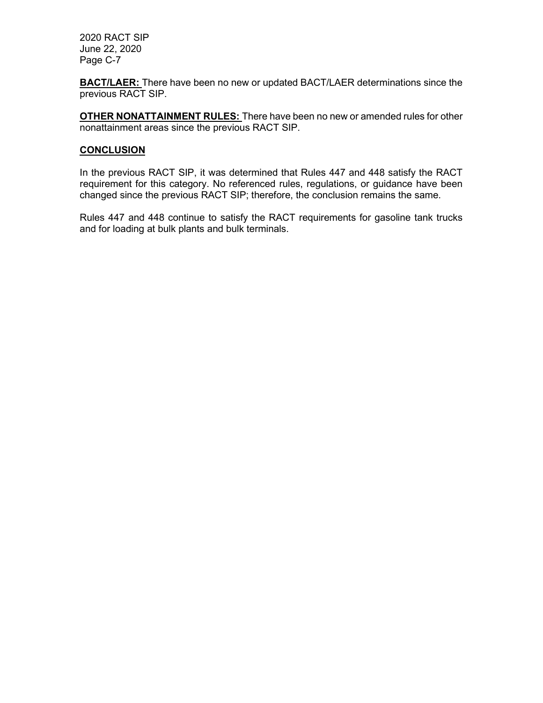**BACT/LAER:** There have been no new or updated BACT/LAER determinations since the previous RACT SIP.

**OTHER NONATTAINMENT RULES:** There have been no new or amended rules for other nonattainment areas since the previous RACT SIP.

## **CONCLUSION**

In the previous RACT SIP, it was determined that Rules 447 and 448 satisfy the RACT requirement for this category. No referenced rules, regulations, or guidance have been changed since the previous RACT SIP; therefore, the conclusion remains the same.

Rules 447 and 448 continue to satisfy the RACT requirements for gasoline tank trucks and for loading at bulk plants and bulk terminals.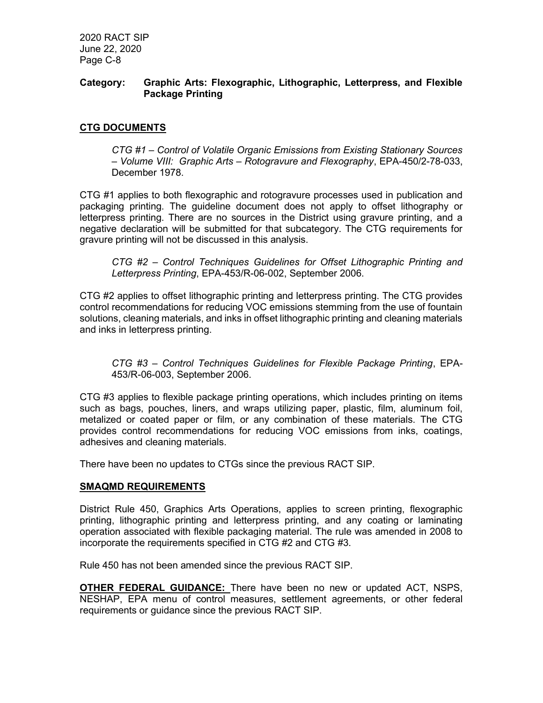## Category: Graphic Arts: Flexographic, Lithographic, Letterpress, and Flexible Package Printing

## CTG DOCUMENTS

CTG #1 – Control of Volatile Organic Emissions from Existing Stationary Sources – Volume VIII: Graphic Arts – Rotogravure and Flexography, EPA-450/2-78-033, December 1978.

CTG #1 applies to both flexographic and rotogravure processes used in publication and packaging printing. The guideline document does not apply to offset lithography or letterpress printing. There are no sources in the District using gravure printing, and a negative declaration will be submitted for that subcategory. The CTG requirements for gravure printing will not be discussed in this analysis.

CTG #2 – Control Techniques Guidelines for Offset Lithographic Printing and Letterpress Printing, EPA-453/R-06-002, September 2006.

CTG #2 applies to offset lithographic printing and letterpress printing. The CTG provides control recommendations for reducing VOC emissions stemming from the use of fountain solutions, cleaning materials, and inks in offset lithographic printing and cleaning materials and inks in letterpress printing.

CTG #3 – Control Techniques Guidelines for Flexible Package Printing, EPA-453/R-06-003, September 2006.

CTG #3 applies to flexible package printing operations, which includes printing on items such as bags, pouches, liners, and wraps utilizing paper, plastic, film, aluminum foil, metalized or coated paper or film, or any combination of these materials. The CTG provides control recommendations for reducing VOC emissions from inks, coatings, adhesives and cleaning materials.

There have been no updates to CTGs since the previous RACT SIP.

#### SMAQMD REQUIREMENTS

District Rule 450, Graphics Arts Operations, applies to screen printing, flexographic printing, lithographic printing and letterpress printing, and any coating or laminating operation associated with flexible packaging material. The rule was amended in 2008 to incorporate the requirements specified in CTG #2 and CTG #3.

Rule 450 has not been amended since the previous RACT SIP.

OTHER FEDERAL GUIDANCE: There have been no new or updated ACT, NSPS, NESHAP, EPA menu of control measures, settlement agreements, or other federal requirements or guidance since the previous RACT SIP.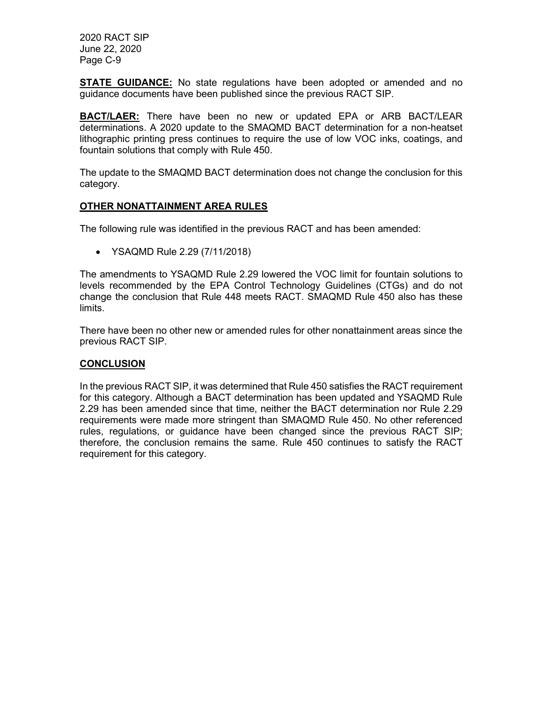**STATE GUIDANCE:** No state regulations have been adopted or amended and no guidance documents have been published since the previous RACT SIP.

**BACT/LAER:** There have been no new or updated EPA or ARB BACT/LEAR determinations. A 2020 update to the SMAQMD BACT determination for a non-heatset lithographic printing press continues to require the use of low VOC inks, coatings, and fountain solutions that comply with Rule 450.

The update to the SMAQMD BACT determination does not change the conclusion for this category.

## OTHER NONATTAINMENT AREA RULES

The following rule was identified in the previous RACT and has been amended:

YSAQMD Rule 2.29 (7/11/2018)

The amendments to YSAQMD Rule 2.29 lowered the VOC limit for fountain solutions to levels recommended by the EPA Control Technology Guidelines (CTGs) and do not change the conclusion that Rule 448 meets RACT. SMAQMD Rule 450 also has these limits.

There have been no other new or amended rules for other nonattainment areas since the previous RACT SIP.

#### **CONCLUSION**

In the previous RACT SIP, it was determined that Rule 450 satisfies the RACT requirement for this category. Although a BACT determination has been updated and YSAQMD Rule 2.29 has been amended since that time, neither the BACT determination nor Rule 2.29 requirements were made more stringent than SMAQMD Rule 450. No other referenced rules, regulations, or guidance have been changed since the previous RACT SIP; therefore, the conclusion remains the same. Rule 450 continues to satisfy the RACT requirement for this category.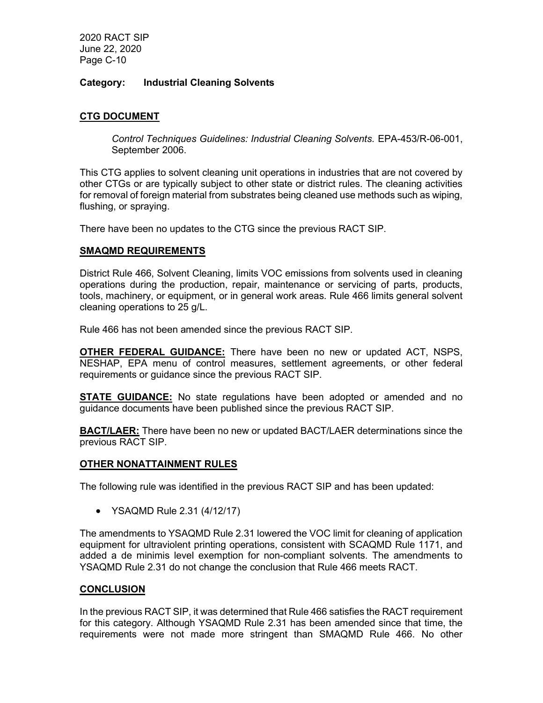## Category: Industrial Cleaning Solvents

## CTG DOCUMENT

Control Techniques Guidelines: Industrial Cleaning Solvents. EPA-453/R-06-001, September 2006.

This CTG applies to solvent cleaning unit operations in industries that are not covered by other CTGs or are typically subject to other state or district rules. The cleaning activities for removal of foreign material from substrates being cleaned use methods such as wiping, flushing, or spraying.

There have been no updates to the CTG since the previous RACT SIP.

## SMAQMD REQUIREMENTS

District Rule 466, Solvent Cleaning, limits VOC emissions from solvents used in cleaning operations during the production, repair, maintenance or servicing of parts, products, tools, machinery, or equipment, or in general work areas. Rule 466 limits general solvent cleaning operations to 25 g/L.

Rule 466 has not been amended since the previous RACT SIP.

OTHER FEDERAL GUIDANCE: There have been no new or updated ACT, NSPS, NESHAP, EPA menu of control measures, settlement agreements, or other federal requirements or guidance since the previous RACT SIP.

**STATE GUIDANCE:** No state regulations have been adopted or amended and no guidance documents have been published since the previous RACT SIP.

BACT/LAER: There have been no new or updated BACT/LAER determinations since the previous RACT SIP.

#### OTHER NONATTAINMENT RULES

The following rule was identified in the previous RACT SIP and has been updated:

YSAQMD Rule 2.31 (4/12/17)

The amendments to YSAQMD Rule 2.31 lowered the VOC limit for cleaning of application equipment for ultraviolent printing operations, consistent with SCAQMD Rule 1171, and added a de minimis level exemption for non-compliant solvents. The amendments to YSAQMD Rule 2.31 do not change the conclusion that Rule 466 meets RACT.

#### CONCLUSION

In the previous RACT SIP, it was determined that Rule 466 satisfies the RACT requirement for this category. Although YSAQMD Rule 2.31 has been amended since that time, the requirements were not made more stringent than SMAQMD Rule 466. No other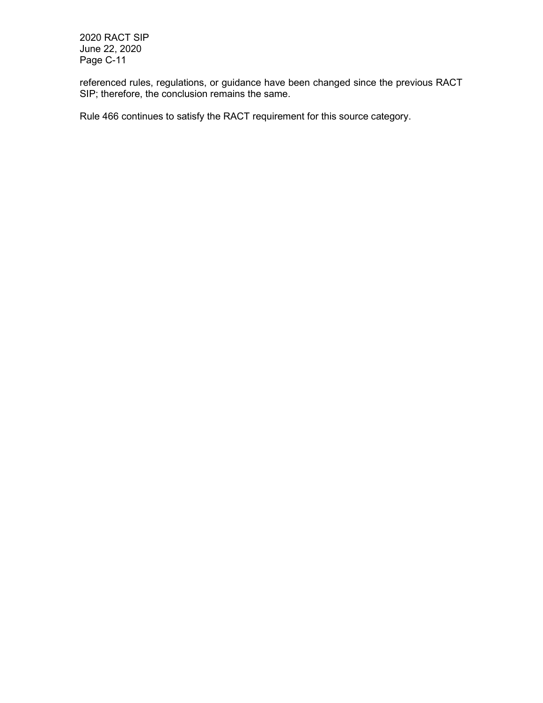referenced rules, regulations, or guidance have been changed since the previous RACT SIP; therefore, the conclusion remains the same.

Rule 466 continues to satisfy the RACT requirement for this source category.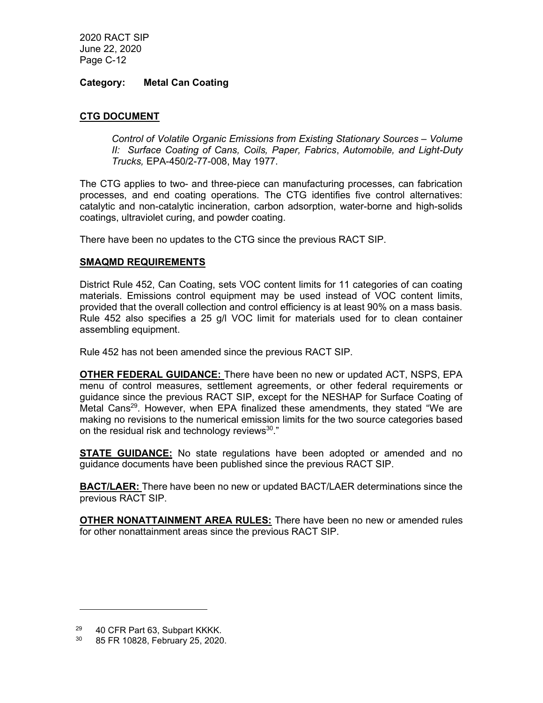## Category: Metal Can Coating

## CTG DOCUMENT

Control of Volatile Organic Emissions from Existing Stationary Sources – Volume II: Surface Coating of Cans, Coils, Paper, Fabrics, Automobile, and Light-Duty Trucks, EPA-450/2-77-008, May 1977.

The CTG applies to two- and three-piece can manufacturing processes, can fabrication processes, and end coating operations. The CTG identifies five control alternatives: catalytic and non-catalytic incineration, carbon adsorption, water-borne and high-solids coatings, ultraviolet curing, and powder coating.

There have been no updates to the CTG since the previous RACT SIP.

#### SMAQMD REQUIREMENTS

District Rule 452, Can Coating, sets VOC content limits for 11 categories of can coating materials. Emissions control equipment may be used instead of VOC content limits, provided that the overall collection and control efficiency is at least 90% on a mass basis. Rule 452 also specifies a 25 g/l VOC limit for materials used for to clean container assembling equipment.

Rule 452 has not been amended since the previous RACT SIP.

OTHER FEDERAL GUIDANCE: There have been no new or updated ACT, NSPS, EPA menu of control measures, settlement agreements, or other federal requirements or guidance since the previous RACT SIP, except for the NESHAP for Surface Coating of Metal Cans<sup>29</sup>. However, when EPA finalized these amendments, they stated "We are making no revisions to the numerical emission limits for the two source categories based on the residual risk and technology reviews $30$ ."

**STATE GUIDANCE:** No state regulations have been adopted or amended and no guidance documents have been published since the previous RACT SIP.

**BACT/LAER:** There have been no new or updated BACT/LAER determinations since the previous RACT SIP.

**OTHER NONATTAINMENT AREA RULES:** There have been no new or amended rules for other nonattainment areas since the previous RACT SIP.

<sup>29</sup> 40 CFR Part 63, Subpart KKKK.

<sup>30</sup> 85 FR 10828, February 25, 2020.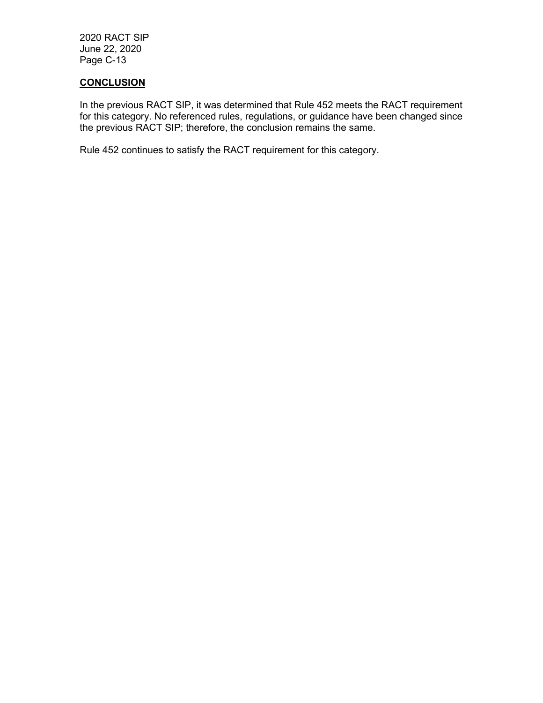## **CONCLUSION**

In the previous RACT SIP, it was determined that Rule 452 meets the RACT requirement for this category. No referenced rules, regulations, or guidance have been changed since the previous RACT SIP; therefore, the conclusion remains the same.

Rule 452 continues to satisfy the RACT requirement for this category.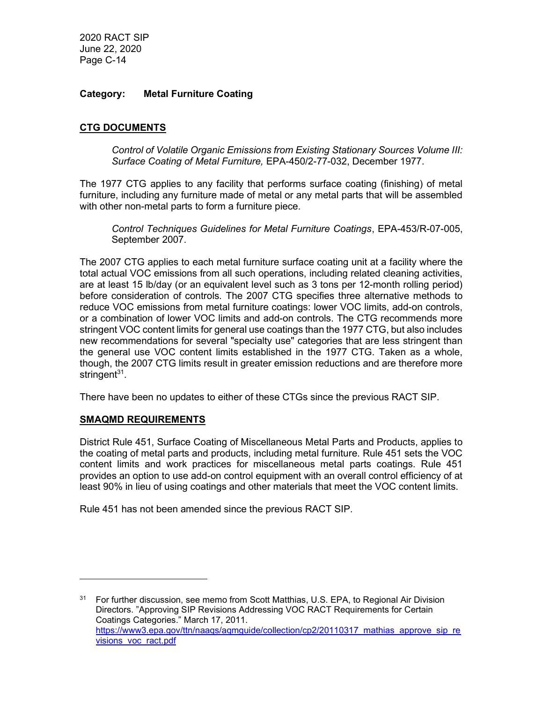## Category: Metal Furniture Coating

## CTG DOCUMENTS

Control of Volatile Organic Emissions from Existing Stationary Sources Volume III: Surface Coating of Metal Furniture, EPA-450/2-77-032, December 1977.

The 1977 CTG applies to any facility that performs surface coating (finishing) of metal furniture, including any furniture made of metal or any metal parts that will be assembled with other non-metal parts to form a furniture piece.

Control Techniques Guidelines for Metal Furniture Coatings, EPA-453/R-07-005, September 2007.

The 2007 CTG applies to each metal furniture surface coating unit at a facility where the total actual VOC emissions from all such operations, including related cleaning activities, are at least 15 lb/day (or an equivalent level such as 3 tons per 12-month rolling period) before consideration of controls. The 2007 CTG specifies three alternative methods to reduce VOC emissions from metal furniture coatings: lower VOC limits, add-on controls, or a combination of lower VOC limits and add-on controls. The CTG recommends more stringent VOC content limits for general use coatings than the 1977 CTG, but also includes new recommendations for several "specialty use" categories that are less stringent than the general use VOC content limits established in the 1977 CTG. Taken as a whole, though, the 2007 CTG limits result in greater emission reductions and are therefore more stringent<sup>31</sup>.

There have been no updates to either of these CTGs since the previous RACT SIP.

#### SMAQMD REQUIREMENTS

District Rule 451, Surface Coating of Miscellaneous Metal Parts and Products, applies to the coating of metal parts and products, including metal furniture. Rule 451 sets the VOC content limits and work practices for miscellaneous metal parts coatings. Rule 451 provides an option to use add-on control equipment with an overall control efficiency of at least 90% in lieu of using coatings and other materials that meet the VOC content limits.

Rule 451 has not been amended since the previous RACT SIP.

<sup>&</sup>lt;sup>31</sup> For further discussion, see memo from Scott Matthias, U.S. EPA, to Regional Air Division Directors. "Approving SIP Revisions Addressing VOC RACT Requirements for Certain Coatings Categories." March 17, 2011. https://www3.epa.gov/ttn/naags/agmguide/collection/cp2/20110317 mathias approve sip re visions\_voc\_ract.pdf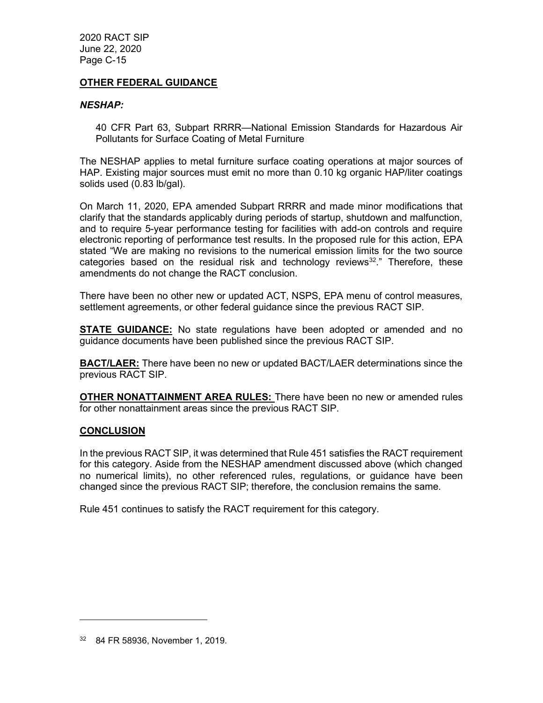## OTHER FEDERAL GUIDANCE

#### NESHAP:

40 CFR Part 63, Subpart RRRR—National Emission Standards for Hazardous Air Pollutants for Surface Coating of Metal Furniture

The NESHAP applies to metal furniture surface coating operations at major sources of HAP. Existing major sources must emit no more than 0.10 kg organic HAP/liter coatings solids used (0.83 lb/gal).

On March 11, 2020, EPA amended Subpart RRRR and made minor modifications that clarify that the standards applicably during periods of startup, shutdown and malfunction, and to require 5-year performance testing for facilities with add-on controls and require electronic reporting of performance test results. In the proposed rule for this action, EPA stated "We are making no revisions to the numerical emission limits for the two source categories based on the residual risk and technology reviews<sup>32</sup>." Therefore, these amendments do not change the RACT conclusion.

There have been no other new or updated ACT, NSPS, EPA menu of control measures, settlement agreements, or other federal guidance since the previous RACT SIP.

**STATE GUIDANCE:** No state regulations have been adopted or amended and no guidance documents have been published since the previous RACT SIP.

**BACT/LAER:** There have been no new or updated BACT/LAER determinations since the previous RACT SIP.

OTHER NONATTAINMENT AREA RULES: There have been no new or amended rules for other nonattainment areas since the previous RACT SIP.

#### **CONCLUSION**

In the previous RACT SIP, it was determined that Rule 451 satisfies the RACT requirement for this category. Aside from the NESHAP amendment discussed above (which changed no numerical limits), no other referenced rules, regulations, or guidance have been changed since the previous RACT SIP; therefore, the conclusion remains the same.

Rule 451 continues to satisfy the RACT requirement for this category.

<sup>32</sup> 84 FR 58936, November 1, 2019.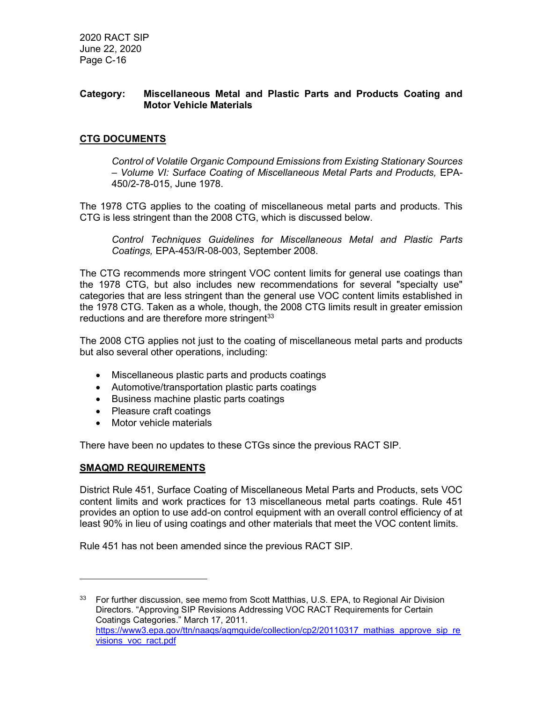## Category: Miscellaneous Metal and Plastic Parts and Products Coating and Motor Vehicle Materials

## CTG DOCUMENTS

Control of Volatile Organic Compound Emissions from Existing Stationary Sources – Volume VI: Surface Coating of Miscellaneous Metal Parts and Products, EPA-450/2-78-015, June 1978.

The 1978 CTG applies to the coating of miscellaneous metal parts and products. This CTG is less stringent than the 2008 CTG, which is discussed below.

Control Techniques Guidelines for Miscellaneous Metal and Plastic Parts Coatings, EPA-453/R-08-003, September 2008.

The CTG recommends more stringent VOC content limits for general use coatings than the 1978 CTG, but also includes new recommendations for several "specialty use" categories that are less stringent than the general use VOC content limits established in the 1978 CTG. Taken as a whole, though, the 2008 CTG limits result in greater emission reductions and are therefore more stringent<sup>33</sup>

The 2008 CTG applies not just to the coating of miscellaneous metal parts and products but also several other operations, including:

- Miscellaneous plastic parts and products coatings
- Automotive/transportation plastic parts coatings
- Business machine plastic parts coatings
- Pleasure craft coatings
- Motor vehicle materials

There have been no updates to these CTGs since the previous RACT SIP.

#### SMAQMD REQUIREMENTS

District Rule 451, Surface Coating of Miscellaneous Metal Parts and Products, sets VOC content limits and work practices for 13 miscellaneous metal parts coatings. Rule 451 provides an option to use add-on control equipment with an overall control efficiency of at least 90% in lieu of using coatings and other materials that meet the VOC content limits.

Rule 451 has not been amended since the previous RACT SIP.

<sup>&</sup>lt;sup>33</sup> For further discussion, see memo from Scott Matthias, U.S. EPA, to Regional Air Division Directors. "Approving SIP Revisions Addressing VOC RACT Requirements for Certain Coatings Categories." March 17, 2011. https://www3.epa.gov/ttn/naags/agmguide/collection/cp2/20110317 mathias approve sip re visions\_voc\_ract.pdf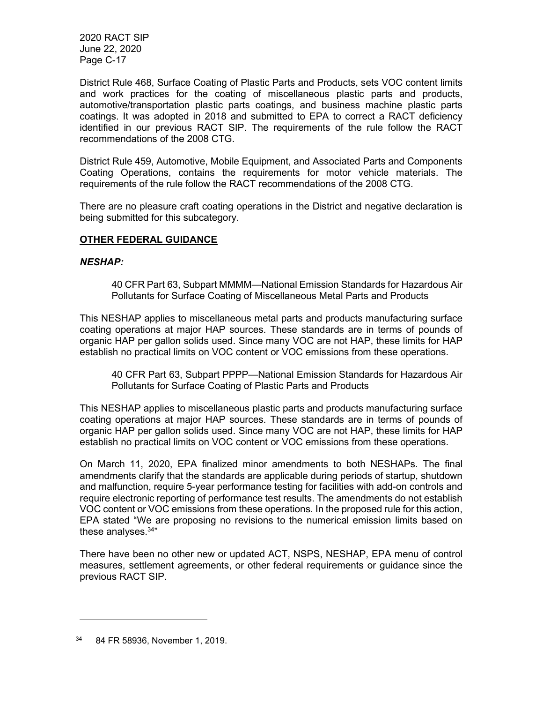District Rule 468, Surface Coating of Plastic Parts and Products, sets VOC content limits and work practices for the coating of miscellaneous plastic parts and products, automotive/transportation plastic parts coatings, and business machine plastic parts coatings. It was adopted in 2018 and submitted to EPA to correct a RACT deficiency identified in our previous RACT SIP. The requirements of the rule follow the RACT recommendations of the 2008 CTG.

District Rule 459, Automotive, Mobile Equipment, and Associated Parts and Components Coating Operations, contains the requirements for motor vehicle materials. The requirements of the rule follow the RACT recommendations of the 2008 CTG.

There are no pleasure craft coating operations in the District and negative declaration is being submitted for this subcategory.

## OTHER FEDERAL GUIDANCE

## NESHAP:

40 CFR Part 63, Subpart MMMM—National Emission Standards for Hazardous Air Pollutants for Surface Coating of Miscellaneous Metal Parts and Products

This NESHAP applies to miscellaneous metal parts and products manufacturing surface coating operations at major HAP sources. These standards are in terms of pounds of organic HAP per gallon solids used. Since many VOC are not HAP, these limits for HAP establish no practical limits on VOC content or VOC emissions from these operations.

40 CFR Part 63, Subpart PPPP—National Emission Standards for Hazardous Air Pollutants for Surface Coating of Plastic Parts and Products

This NESHAP applies to miscellaneous plastic parts and products manufacturing surface coating operations at major HAP sources. These standards are in terms of pounds of organic HAP per gallon solids used. Since many VOC are not HAP, these limits for HAP establish no practical limits on VOC content or VOC emissions from these operations.

On March 11, 2020, EPA finalized minor amendments to both NESHAPs. The final amendments clarify that the standards are applicable during periods of startup, shutdown and malfunction, require 5-year performance testing for facilities with add-on controls and require electronic reporting of performance test results. The amendments do not establish VOC content or VOC emissions from these operations. In the proposed rule for this action, EPA stated "We are proposing no revisions to the numerical emission limits based on these analyses. $34"$ 

There have been no other new or updated ACT, NSPS, NESHAP, EPA menu of control measures, settlement agreements, or other federal requirements or guidance since the previous RACT SIP.

<sup>34</sup> 84 FR 58936, November 1, 2019.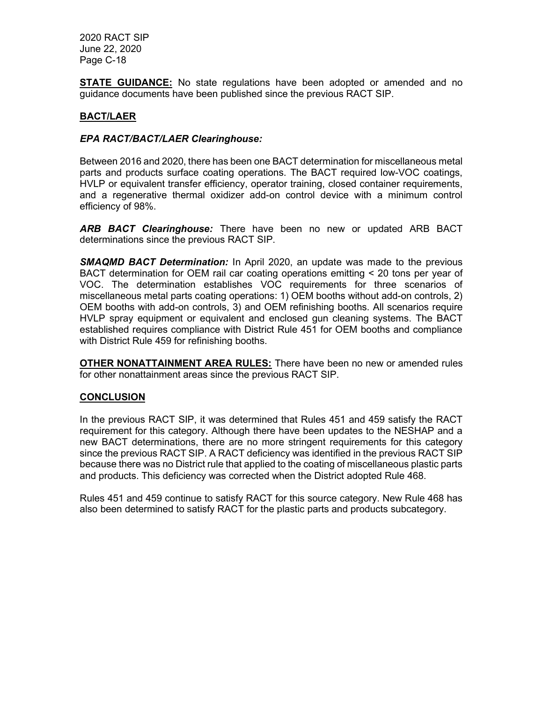**STATE GUIDANCE:** No state regulations have been adopted or amended and no guidance documents have been published since the previous RACT SIP.

## BACT/LAER

## EPA RACT/BACT/LAER Clearinghouse:

Between 2016 and 2020, there has been one BACT determination for miscellaneous metal parts and products surface coating operations. The BACT required low-VOC coatings, HVLP or equivalent transfer efficiency, operator training, closed container requirements, and a regenerative thermal oxidizer add-on control device with a minimum control efficiency of 98%.

ARB BACT Clearinghouse: There have been no new or updated ARB BACT determinations since the previous RACT SIP.

**SMAQMD BACT Determination:** In April 2020, an update was made to the previous BACT determination for OEM rail car coating operations emitting < 20 tons per year of VOC. The determination establishes VOC requirements for three scenarios of miscellaneous metal parts coating operations: 1) OEM booths without add-on controls, 2) OEM booths with add-on controls, 3) and OEM refinishing booths. All scenarios require HVLP spray equipment or equivalent and enclosed gun cleaning systems. The BACT established requires compliance with District Rule 451 for OEM booths and compliance with District Rule 459 for refinishing booths.

OTHER NONATTAINMENT AREA RULES: There have been no new or amended rules for other nonattainment areas since the previous RACT SIP.

#### **CONCLUSION**

In the previous RACT SIP, it was determined that Rules 451 and 459 satisfy the RACT requirement for this category. Although there have been updates to the NESHAP and a new BACT determinations, there are no more stringent requirements for this category since the previous RACT SIP. A RACT deficiency was identified in the previous RACT SIP because there was no District rule that applied to the coating of miscellaneous plastic parts and products. This deficiency was corrected when the District adopted Rule 468.

Rules 451 and 459 continue to satisfy RACT for this source category. New Rule 468 has also been determined to satisfy RACT for the plastic parts and products subcategory.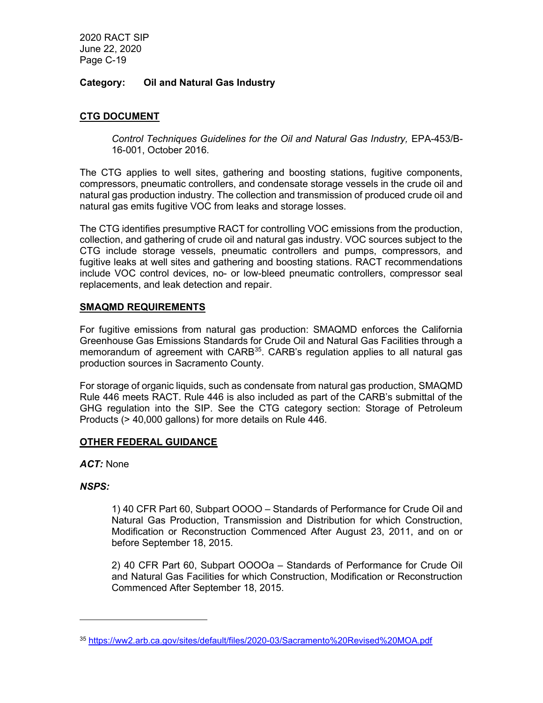## Category: Oil and Natural Gas Industry

## CTG DOCUMENT

Control Techniques Guidelines for the Oil and Natural Gas Industry, EPA-453/B-16-001, October 2016.

The CTG applies to well sites, gathering and boosting stations, fugitive components, compressors, pneumatic controllers, and condensate storage vessels in the crude oil and natural gas production industry. The collection and transmission of produced crude oil and natural gas emits fugitive VOC from leaks and storage losses.

The CTG identifies presumptive RACT for controlling VOC emissions from the production, collection, and gathering of crude oil and natural gas industry. VOC sources subject to the CTG include storage vessels, pneumatic controllers and pumps, compressors, and fugitive leaks at well sites and gathering and boosting stations. RACT recommendations include VOC control devices, no- or low-bleed pneumatic controllers, compressor seal replacements, and leak detection and repair.

## SMAQMD REQUIREMENTS

For fugitive emissions from natural gas production: SMAQMD enforces the California Greenhouse Gas Emissions Standards for Crude Oil and Natural Gas Facilities through a memorandum of agreement with CARB<sup>35</sup>. CARB's regulation applies to all natural gas production sources in Sacramento County.

For storage of organic liquids, such as condensate from natural gas production, SMAQMD Rule 446 meets RACT. Rule 446 is also included as part of the CARB's submittal of the GHG regulation into the SIP. See the CTG category section: Storage of Petroleum Products (> 40,000 gallons) for more details on Rule 446.

## OTHER FEDERAL GUIDANCE

ACT: None

#### NSPS:

1) 40 CFR Part 60, Subpart OOOO – Standards of Performance for Crude Oil and Natural Gas Production, Transmission and Distribution for which Construction, Modification or Reconstruction Commenced After August 23, 2011, and on or before September 18, 2015.

2) 40 CFR Part 60, Subpart OOOOa – Standards of Performance for Crude Oil and Natural Gas Facilities for which Construction, Modification or Reconstruction Commenced After September 18, 2015.

<sup>35</sup> https://ww2.arb.ca.gov/sites/default/files/2020-03/Sacramento%20Revised%20MOA.pdf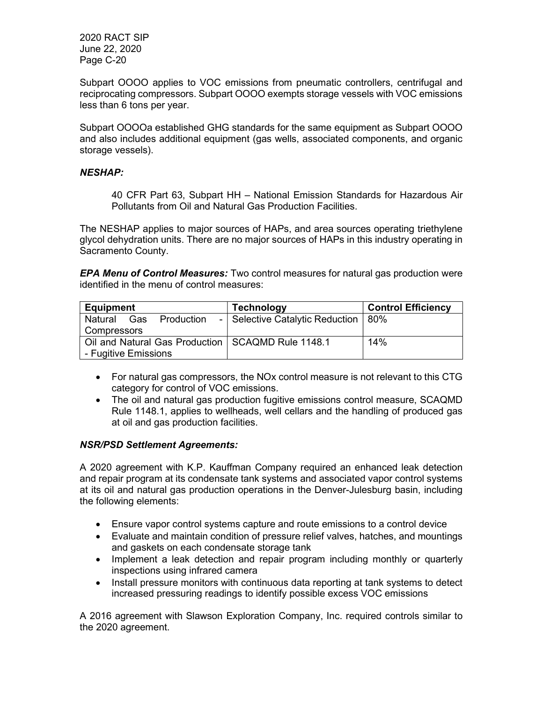Subpart OOOO applies to VOC emissions from pneumatic controllers, centrifugal and reciprocating compressors. Subpart OOOO exempts storage vessels with VOC emissions less than 6 tons per year.

Subpart OOOOa established GHG standards for the same equipment as Subpart OOOO and also includes additional equipment (gas wells, associated components, and organic storage vessels).

## NESHAP:

40 CFR Part 63, Subpart HH – National Emission Standards for Hazardous Air Pollutants from Oil and Natural Gas Production Facilities.

The NESHAP applies to major sources of HAPs, and area sources operating triethylene glycol dehydration units. There are no major sources of HAPs in this industry operating in Sacramento County.

**EPA Menu of Control Measures:** Two control measures for natural gas production were identified in the menu of control measures:

| <b>Equipment</b>                                    | <b>Technology</b>                       | <b>Control Efficiency</b> |
|-----------------------------------------------------|-----------------------------------------|---------------------------|
| Production<br>Natural<br>Gas                        | -   Selective Catalytic Reduction   80% |                           |
| Compressors                                         |                                         |                           |
| Oil and Natural Gas Production   SCAQMD Rule 1148.1 |                                         | 14%                       |
| - Fugitive Emissions                                |                                         |                           |

- For natural gas compressors, the NOx control measure is not relevant to this CTG category for control of VOC emissions.
- The oil and natural gas production fugitive emissions control measure, SCAQMD Rule 1148.1, applies to wellheads, well cellars and the handling of produced gas at oil and gas production facilities.

#### NSR/PSD Settlement Agreements:

A 2020 agreement with K.P. Kauffman Company required an enhanced leak detection and repair program at its condensate tank systems and associated vapor control systems at its oil and natural gas production operations in the Denver-Julesburg basin, including the following elements:

- Ensure vapor control systems capture and route emissions to a control device
- Evaluate and maintain condition of pressure relief valves, hatches, and mountings and gaskets on each condensate storage tank
- Implement a leak detection and repair program including monthly or quarterly inspections using infrared camera
- Install pressure monitors with continuous data reporting at tank systems to detect increased pressuring readings to identify possible excess VOC emissions

A 2016 agreement with Slawson Exploration Company, Inc. required controls similar to the 2020 agreement.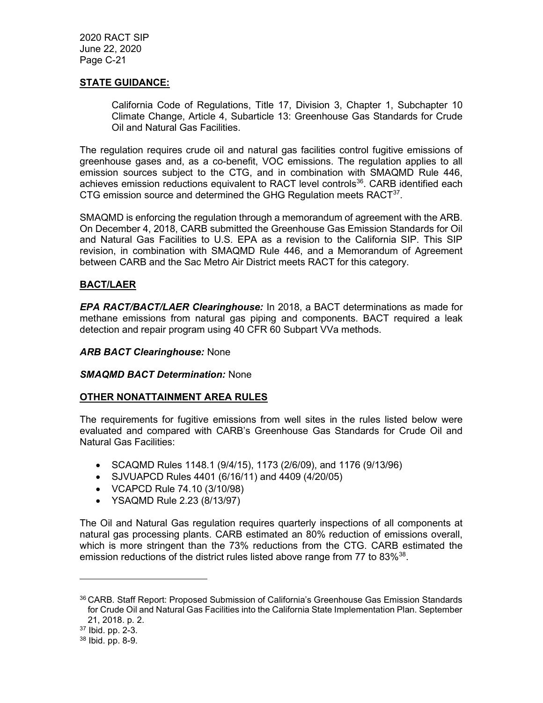## STATE GUIDANCE:

California Code of Regulations, Title 17, Division 3, Chapter 1, Subchapter 10 Climate Change, Article 4, Subarticle 13: Greenhouse Gas Standards for Crude Oil and Natural Gas Facilities.

The regulation requires crude oil and natural gas facilities control fugitive emissions of greenhouse gases and, as a co-benefit, VOC emissions. The regulation applies to all emission sources subject to the CTG, and in combination with SMAQMD Rule 446, achieves emission reductions equivalent to RACT level controls<sup>36</sup>. CARB identified each CTG emission source and determined the GHG Regulation meets  $RACT<sup>37</sup>$ .

SMAQMD is enforcing the regulation through a memorandum of agreement with the ARB. On December 4, 2018, CARB submitted the Greenhouse Gas Emission Standards for Oil and Natural Gas Facilities to U.S. EPA as a revision to the California SIP. This SIP revision, in combination with SMAQMD Rule 446, and a Memorandum of Agreement between CARB and the Sac Metro Air District meets RACT for this category.

## BACT/LAER

EPA RACT/BACT/LAER Clearinghouse: In 2018, a BACT determinations as made for methane emissions from natural gas piping and components. BACT required a leak detection and repair program using 40 CFR 60 Subpart VVa methods.

#### **ARB BACT Clearinghouse: None**

#### **SMAQMD BACT Determination: None**

#### OTHER NONATTAINMENT AREA RULES

The requirements for fugitive emissions from well sites in the rules listed below were evaluated and compared with CARB's Greenhouse Gas Standards for Crude Oil and Natural Gas Facilities:

- SCAQMD Rules 1148.1 (9/4/15), 1173 (2/6/09), and 1176 (9/13/96)
- SJVUAPCD Rules 4401 (6/16/11) and 4409 (4/20/05)
- VCAPCD Rule 74.10 (3/10/98)
- YSAQMD Rule 2.23 (8/13/97)

The Oil and Natural Gas regulation requires quarterly inspections of all components at natural gas processing plants. CARB estimated an 80% reduction of emissions overall, which is more stringent than the 73% reductions from the CTG. CARB estimated the emission reductions of the district rules listed above range from 77 to 83%<sup>38</sup>.

<sup>36</sup> CARB. Staff Report: Proposed Submission of California's Greenhouse Gas Emission Standards for Crude Oil and Natural Gas Facilities into the California State Implementation Plan. September 21, 2018. p. 2.

<sup>37</sup> Ibid. pp. 2-3.

<sup>38</sup> Ibid. pp. 8-9.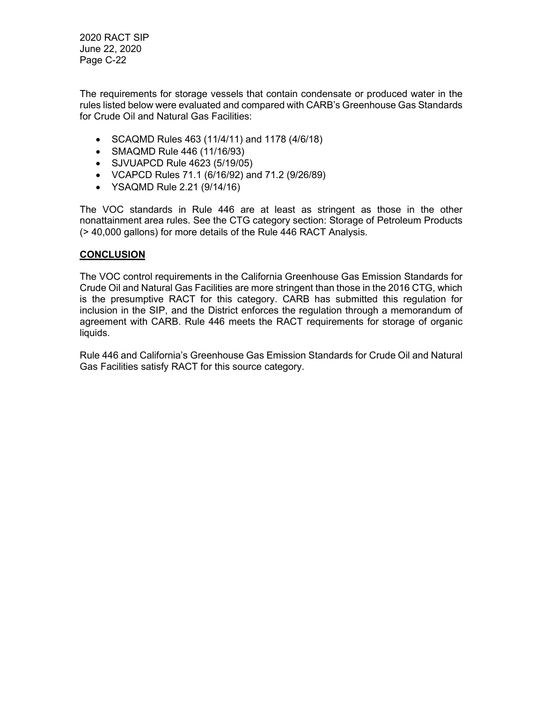The requirements for storage vessels that contain condensate or produced water in the rules listed below were evaluated and compared with CARB's Greenhouse Gas Standards for Crude Oil and Natural Gas Facilities:

- SCAQMD Rules 463 (11/4/11) and 1178 (4/6/18)
- SMAQMD Rule 446 (11/16/93)
- SJVUAPCD Rule 4623 (5/19/05)
- VCAPCD Rules 71.1 (6/16/92) and 71.2 (9/26/89)
- YSAQMD Rule 2.21 (9/14/16)

The VOC standards in Rule 446 are at least as stringent as those in the other nonattainment area rules. See the CTG category section: Storage of Petroleum Products (> 40,000 gallons) for more details of the Rule 446 RACT Analysis.

## **CONCLUSION**

The VOC control requirements in the California Greenhouse Gas Emission Standards for Crude Oil and Natural Gas Facilities are more stringent than those in the 2016 CTG, which is the presumptive RACT for this category. CARB has submitted this regulation for inclusion in the SIP, and the District enforces the regulation through a memorandum of agreement with CARB. Rule 446 meets the RACT requirements for storage of organic liquids.

Rule 446 and California's Greenhouse Gas Emission Standards for Crude Oil and Natural Gas Facilities satisfy RACT for this source category.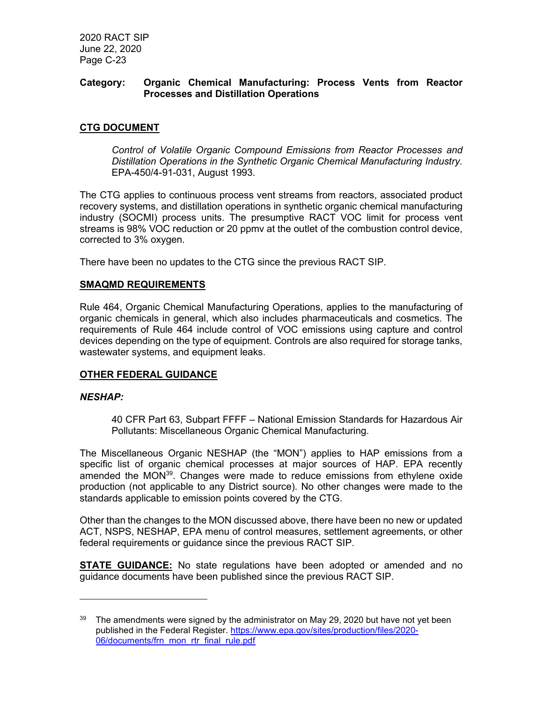### Category: Organic Chemical Manufacturing: Process Vents from Reactor Processes and Distillation Operations

## CTG DOCUMENT

Control of Volatile Organic Compound Emissions from Reactor Processes and Distillation Operations in the Synthetic Organic Chemical Manufacturing Industry. EPA-450/4-91-031, August 1993.

The CTG applies to continuous process vent streams from reactors, associated product recovery systems, and distillation operations in synthetic organic chemical manufacturing industry (SOCMI) process units. The presumptive RACT VOC limit for process vent streams is 98% VOC reduction or 20 ppmv at the outlet of the combustion control device, corrected to 3% oxygen.

There have been no updates to the CTG since the previous RACT SIP.

#### SMAQMD REQUIREMENTS

Rule 464, Organic Chemical Manufacturing Operations, applies to the manufacturing of organic chemicals in general, which also includes pharmaceuticals and cosmetics. The requirements of Rule 464 include control of VOC emissions using capture and control devices depending on the type of equipment. Controls are also required for storage tanks, wastewater systems, and equipment leaks.

#### OTHER FEDERAL GUIDANCE

#### NESHAP:

40 CFR Part 63, Subpart FFFF – National Emission Standards for Hazardous Air Pollutants: Miscellaneous Organic Chemical Manufacturing.

The Miscellaneous Organic NESHAP (the "MON") applies to HAP emissions from a specific list of organic chemical processes at major sources of HAP. EPA recently amended the  $MON<sup>39</sup>$ . Changes were made to reduce emissions from ethylene oxide production (not applicable to any District source). No other changes were made to the standards applicable to emission points covered by the CTG.

Other than the changes to the MON discussed above, there have been no new or updated ACT, NSPS, NESHAP, EPA menu of control measures, settlement agreements, or other federal requirements or guidance since the previous RACT SIP.

**STATE GUIDANCE:** No state regulations have been adopted or amended and no guidance documents have been published since the previous RACT SIP.

 $39$  The amendments were signed by the administrator on May 29, 2020 but have not yet been published in the Federal Register. https://www.epa.gov/sites/production/files/2020- 06/documents/frn\_mon\_rtr\_final\_rule.pdf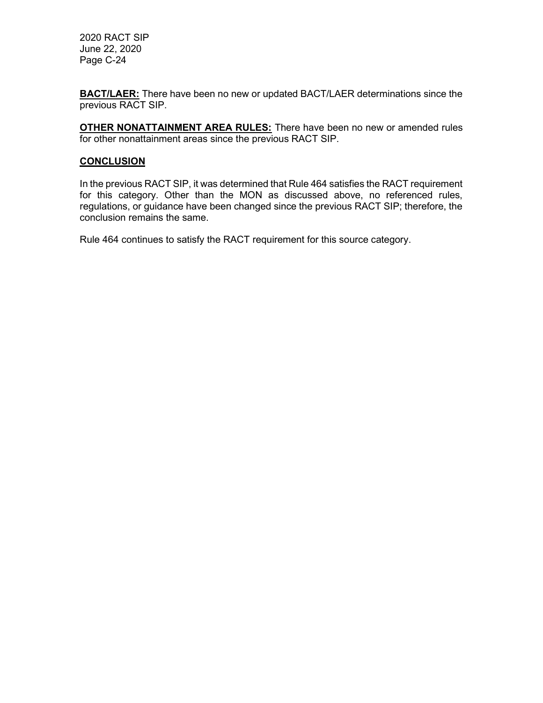**BACT/LAER:** There have been no new or updated BACT/LAER determinations since the previous RACT SIP.

**OTHER NONATTAINMENT AREA RULES:** There have been no new or amended rules for other nonattainment areas since the previous RACT SIP.

## **CONCLUSION**

In the previous RACT SIP, it was determined that Rule 464 satisfies the RACT requirement for this category. Other than the MON as discussed above, no referenced rules, regulations, or guidance have been changed since the previous RACT SIP; therefore, the conclusion remains the same.

Rule 464 continues to satisfy the RACT requirement for this source category.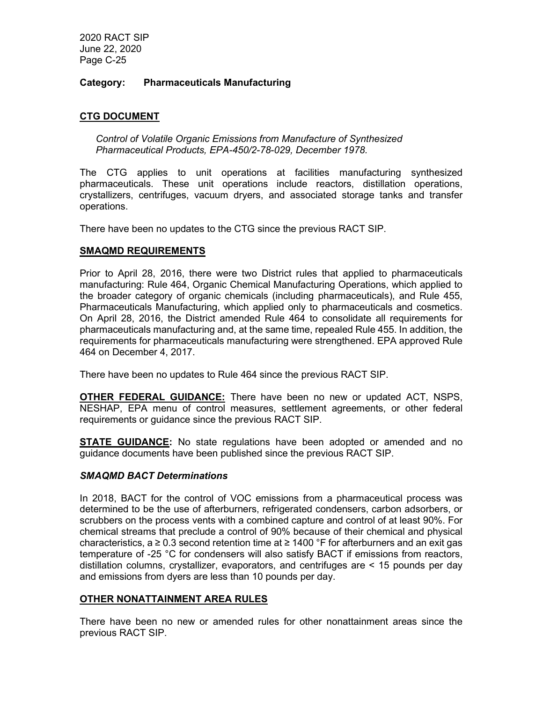## Category: Pharmaceuticals Manufacturing

## CTG DOCUMENT

Control of Volatile Organic Emissions from Manufacture of Synthesized Pharmaceutical Products, EPA-450/2-78-029, December 1978.

The CTG applies to unit operations at facilities manufacturing synthesized pharmaceuticals. These unit operations include reactors, distillation operations, crystallizers, centrifuges, vacuum dryers, and associated storage tanks and transfer operations.

There have been no updates to the CTG since the previous RACT SIP.

#### SMAQMD REQUIREMENTS

Prior to April 28, 2016, there were two District rules that applied to pharmaceuticals manufacturing: Rule 464, Organic Chemical Manufacturing Operations, which applied to the broader category of organic chemicals (including pharmaceuticals), and Rule 455, Pharmaceuticals Manufacturing, which applied only to pharmaceuticals and cosmetics. On April 28, 2016, the District amended Rule 464 to consolidate all requirements for pharmaceuticals manufacturing and, at the same time, repealed Rule 455. In addition, the requirements for pharmaceuticals manufacturing were strengthened. EPA approved Rule 464 on December 4, 2017.

There have been no updates to Rule 464 since the previous RACT SIP.

OTHER FEDERAL GUIDANCE: There have been no new or updated ACT, NSPS, NESHAP, EPA menu of control measures, settlement agreements, or other federal requirements or guidance since the previous RACT SIP.

**STATE GUIDANCE:** No state regulations have been adopted or amended and no guidance documents have been published since the previous RACT SIP.

#### SMAQMD BACT Determinations

In 2018, BACT for the control of VOC emissions from a pharmaceutical process was determined to be the use of afterburners, refrigerated condensers, carbon adsorbers, or scrubbers on the process vents with a combined capture and control of at least 90%. For chemical streams that preclude a control of 90% because of their chemical and physical characteristics, a ≥ 0.3 second retention time at ≥ 1400 °F for afterburners and an exit gas temperature of -25 °C for condensers will also satisfy BACT if emissions from reactors, distillation columns, crystallizer, evaporators, and centrifuges are < 15 pounds per day and emissions from dyers are less than 10 pounds per day.

#### OTHER NONATTAINMENT AREA RULES

There have been no new or amended rules for other nonattainment areas since the previous RACT SIP.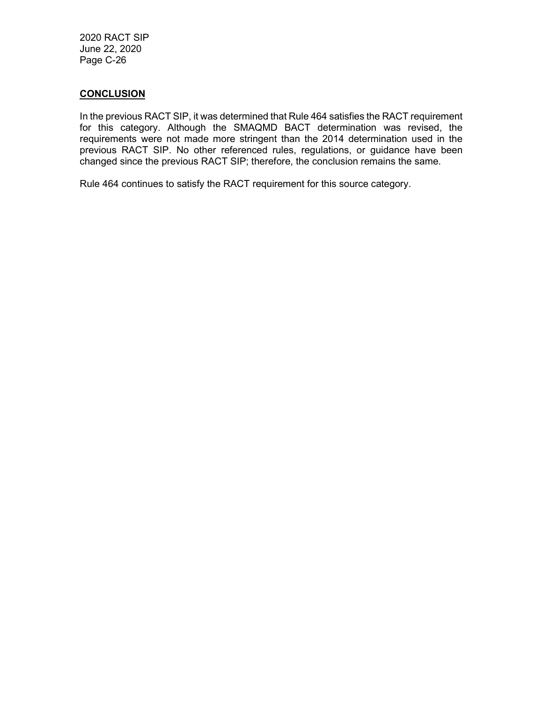### **CONCLUSION**

In the previous RACT SIP, it was determined that Rule 464 satisfies the RACT requirement for this category. Although the SMAQMD BACT determination was revised, the requirements were not made more stringent than the 2014 determination used in the previous RACT SIP. No other referenced rules, regulations, or guidance have been changed since the previous RACT SIP; therefore, the conclusion remains the same.

Rule 464 continues to satisfy the RACT requirement for this source category.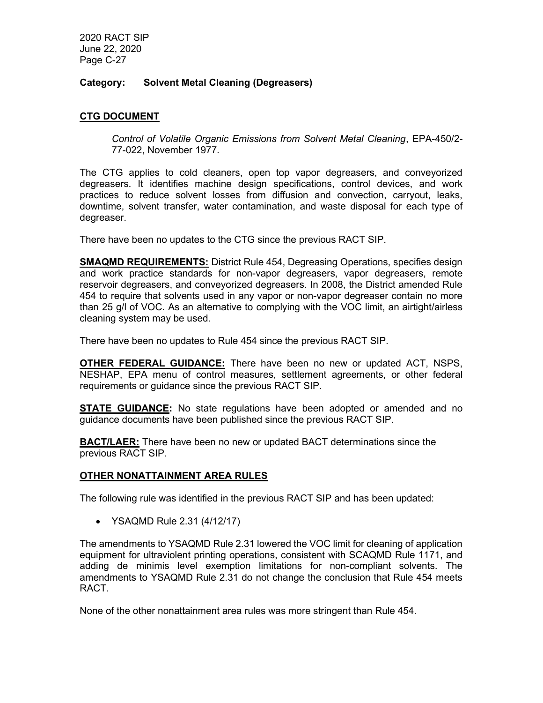## Category: Solvent Metal Cleaning (Degreasers)

## CTG DOCUMENT

Control of Volatile Organic Emissions from Solvent Metal Cleaning, EPA-450/2- 77-022, November 1977.

The CTG applies to cold cleaners, open top vapor degreasers, and conveyorized degreasers. It identifies machine design specifications, control devices, and work practices to reduce solvent losses from diffusion and convection, carryout, leaks, downtime, solvent transfer, water contamination, and waste disposal for each type of degreaser.

There have been no updates to the CTG since the previous RACT SIP.

**SMAQMD REQUIREMENTS:** District Rule 454, Degreasing Operations, specifies design and work practice standards for non-vapor degreasers, vapor degreasers, remote reservoir degreasers, and conveyorized degreasers. In 2008, the District amended Rule 454 to require that solvents used in any vapor or non-vapor degreaser contain no more than 25 g/l of VOC. As an alternative to complying with the VOC limit, an airtight/airless cleaning system may be used.

There have been no updates to Rule 454 since the previous RACT SIP.

OTHER FEDERAL GUIDANCE: There have been no new or updated ACT, NSPS, NESHAP, EPA menu of control measures, settlement agreements, or other federal requirements or guidance since the previous RACT SIP.

**STATE GUIDANCE:** No state regulations have been adopted or amended and no guidance documents have been published since the previous RACT SIP.

**BACT/LAER:** There have been no new or updated BACT determinations since the previous RACT SIP.

#### OTHER NONATTAINMENT AREA RULES

The following rule was identified in the previous RACT SIP and has been updated:

YSAQMD Rule 2.31 (4/12/17)

The amendments to YSAQMD Rule 2.31 lowered the VOC limit for cleaning of application equipment for ultraviolent printing operations, consistent with SCAQMD Rule 1171, and adding de minimis level exemption limitations for non-compliant solvents. The amendments to YSAQMD Rule 2.31 do not change the conclusion that Rule 454 meets RACT.

None of the other nonattainment area rules was more stringent than Rule 454.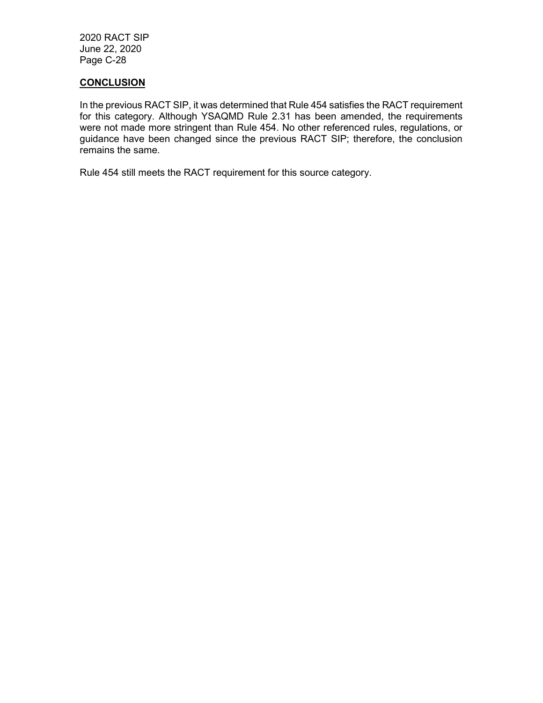## **CONCLUSION**

In the previous RACT SIP, it was determined that Rule 454 satisfies the RACT requirement for this category. Although YSAQMD Rule 2.31 has been amended, the requirements were not made more stringent than Rule 454. No other referenced rules, regulations, or guidance have been changed since the previous RACT SIP; therefore, the conclusion remains the same.

Rule 454 still meets the RACT requirement for this source category.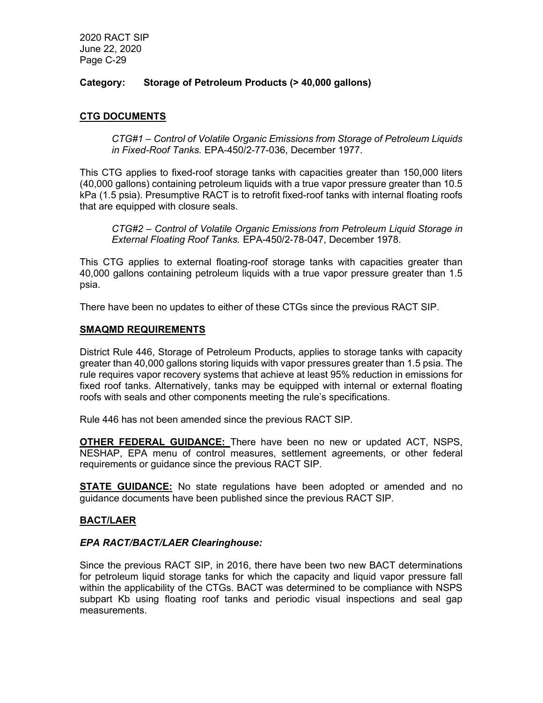## Category: Storage of Petroleum Products (> 40,000 gallons)

## **CTG DOCUMENTS**

CTG#1 – Control of Volatile Organic Emissions from Storage of Petroleum Liquids in Fixed-Roof Tanks. EPA-450/2-77-036, December 1977.

This CTG applies to fixed-roof storage tanks with capacities greater than 150,000 liters (40,000 gallons) containing petroleum liquids with a true vapor pressure greater than 10.5 kPa (1.5 psia). Presumptive RACT is to retrofit fixed-roof tanks with internal floating roofs that are equipped with closure seals.

CTG#2 – Control of Volatile Organic Emissions from Petroleum Liquid Storage in External Floating Roof Tanks. EPA-450/2-78-047, December 1978.

This CTG applies to external floating-roof storage tanks with capacities greater than 40,000 gallons containing petroleum liquids with a true vapor pressure greater than 1.5 psia.

There have been no updates to either of these CTGs since the previous RACT SIP.

#### SMAQMD REQUIREMENTS

District Rule 446, Storage of Petroleum Products, applies to storage tanks with capacity greater than 40,000 gallons storing liquids with vapor pressures greater than 1.5 psia. The rule requires vapor recovery systems that achieve at least 95% reduction in emissions for fixed roof tanks. Alternatively, tanks may be equipped with internal or external floating roofs with seals and other components meeting the rule's specifications.

Rule 446 has not been amended since the previous RACT SIP.

OTHER FEDERAL GUIDANCE: There have been no new or updated ACT, NSPS, NESHAP, EPA menu of control measures, settlement agreements, or other federal requirements or guidance since the previous RACT SIP.

**STATE GUIDANCE:** No state regulations have been adopted or amended and no guidance documents have been published since the previous RACT SIP.

#### BACT/LAER

#### EPA RACT/BACT/LAER Clearinghouse:

Since the previous RACT SIP, in 2016, there have been two new BACT determinations for petroleum liquid storage tanks for which the capacity and liquid vapor pressure fall within the applicability of the CTGs. BACT was determined to be compliance with NSPS subpart Kb using floating roof tanks and periodic visual inspections and seal gap measurements.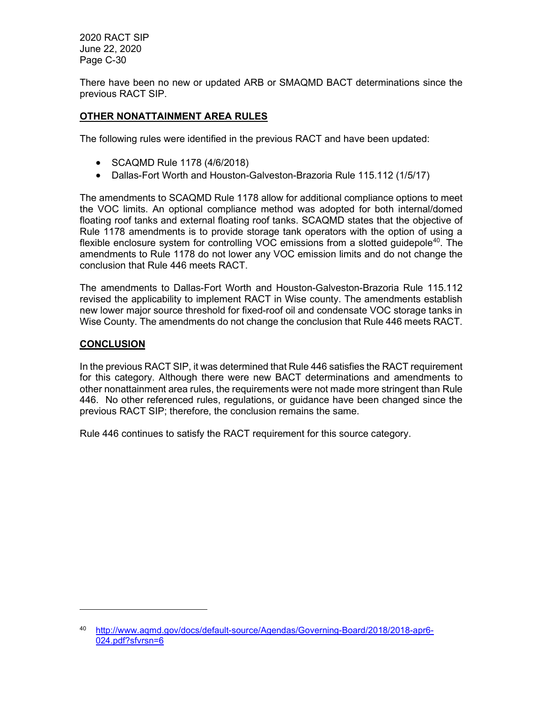There have been no new or updated ARB or SMAQMD BACT determinations since the previous RACT SIP.

## OTHER NONATTAINMENT AREA RULES

The following rules were identified in the previous RACT and have been updated:

- SCAQMD Rule 1178 (4/6/2018)
- Dallas-Fort Worth and Houston-Galveston-Brazoria Rule 115.112 (1/5/17)

The amendments to SCAQMD Rule 1178 allow for additional compliance options to meet the VOC limits. An optional compliance method was adopted for both internal/domed floating roof tanks and external floating roof tanks. SCAQMD states that the objective of Rule 1178 amendments is to provide storage tank operators with the option of using a flexible enclosure system for controlling VOC emissions from a slotted guidepole<sup>40</sup>. The amendments to Rule 1178 do not lower any VOC emission limits and do not change the conclusion that Rule 446 meets RACT.

The amendments to Dallas-Fort Worth and Houston-Galveston-Brazoria Rule 115.112 revised the applicability to implement RACT in Wise county. The amendments establish new lower major source threshold for fixed-roof oil and condensate VOC storage tanks in Wise County. The amendments do not change the conclusion that Rule 446 meets RACT.

## **CONCLUSION**

In the previous RACT SIP, it was determined that Rule 446 satisfies the RACT requirement for this category. Although there were new BACT determinations and amendments to other nonattainment area rules, the requirements were not made more stringent than Rule 446. No other referenced rules, regulations, or guidance have been changed since the previous RACT SIP; therefore, the conclusion remains the same.

Rule 446 continues to satisfy the RACT requirement for this source category.

<sup>40</sup> http://www.aqmd.gov/docs/default-source/Agendas/Governing-Board/2018/2018-apr6- 024.pdf?sfvrsn=6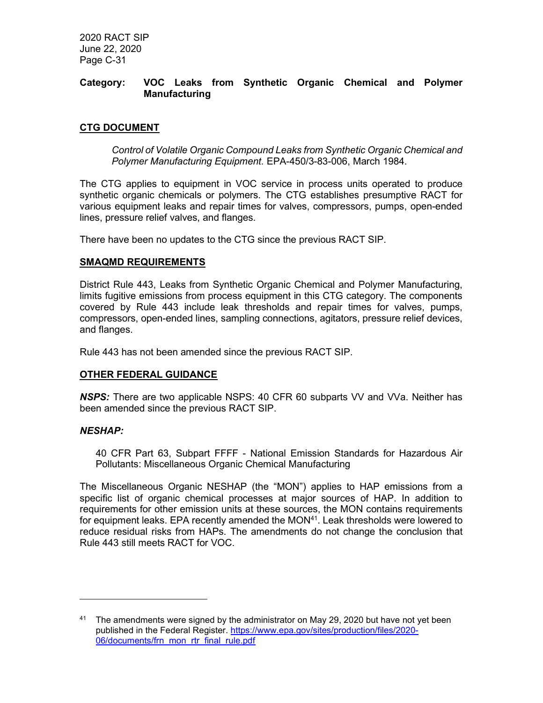## Category: VOC Leaks from Synthetic Organic Chemical and Polymer **Manufacturing**

## CTG DOCUMENT

Control of Volatile Organic Compound Leaks from Synthetic Organic Chemical and Polymer Manufacturing Equipment. EPA-450/3-83-006, March 1984.

The CTG applies to equipment in VOC service in process units operated to produce synthetic organic chemicals or polymers. The CTG establishes presumptive RACT for various equipment leaks and repair times for valves, compressors, pumps, open-ended lines, pressure relief valves, and flanges.

There have been no updates to the CTG since the previous RACT SIP.

## SMAQMD REQUIREMENTS

District Rule 443, Leaks from Synthetic Organic Chemical and Polymer Manufacturing, limits fugitive emissions from process equipment in this CTG category. The components covered by Rule 443 include leak thresholds and repair times for valves, pumps, compressors, open-ended lines, sampling connections, agitators, pressure relief devices, and flanges.

Rule 443 has not been amended since the previous RACT SIP.

## OTHER FEDERAL GUIDANCE

NSPS: There are two applicable NSPS: 40 CFR 60 subparts VV and VVa. Neither has been amended since the previous RACT SIP.

#### NESHAP:

40 CFR Part 63, Subpart FFFF - National Emission Standards for Hazardous Air Pollutants: Miscellaneous Organic Chemical Manufacturing

The Miscellaneous Organic NESHAP (the "MON") applies to HAP emissions from a specific list of organic chemical processes at major sources of HAP. In addition to requirements for other emission units at these sources, the MON contains requirements for equipment leaks. EPA recently amended the  $MON<sup>41</sup>$ . Leak thresholds were lowered to reduce residual risks from HAPs. The amendments do not change the conclusion that Rule 443 still meets RACT for VOC.

 $41$  The amendments were signed by the administrator on May 29, 2020 but have not yet been published in the Federal Register. https://www.epa.gov/sites/production/files/2020- 06/documents/frn\_mon\_rtr\_final\_rule.pdf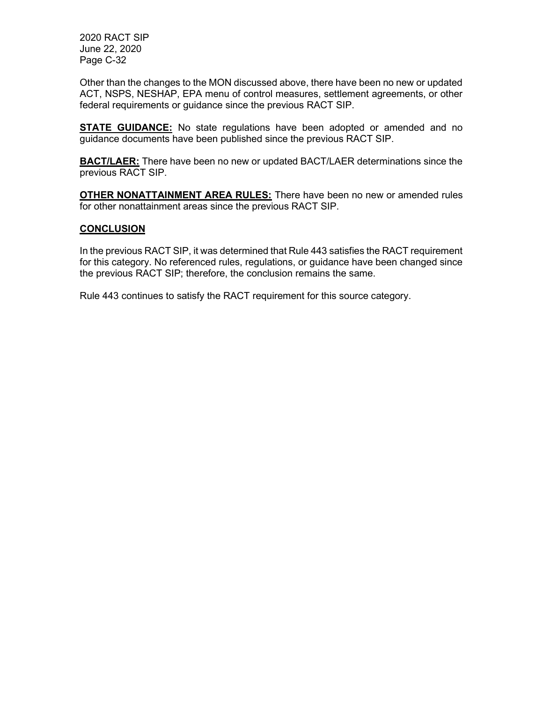Other than the changes to the MON discussed above, there have been no new or updated ACT, NSPS, NESHAP, EPA menu of control measures, settlement agreements, or other federal requirements or guidance since the previous RACT SIP.

**STATE GUIDANCE:** No state regulations have been adopted or amended and no guidance documents have been published since the previous RACT SIP.

**BACT/LAER:** There have been no new or updated BACT/LAER determinations since the previous RACT SIP.

**OTHER NONATTAINMENT AREA RULES:** There have been no new or amended rules for other nonattainment areas since the previous RACT SIP.

## **CONCLUSION**

In the previous RACT SIP, it was determined that Rule 443 satisfies the RACT requirement for this category. No referenced rules, regulations, or guidance have been changed since the previous RACT SIP; therefore, the conclusion remains the same.

Rule 443 continues to satisfy the RACT requirement for this source category.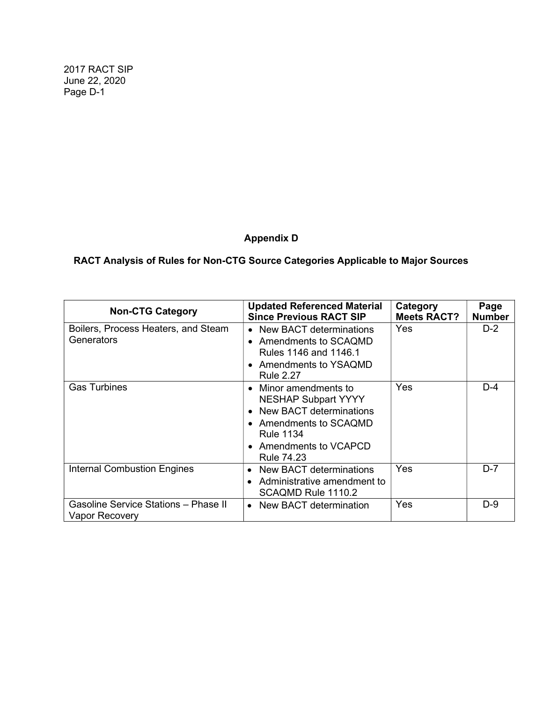# Appendix D

# RACT Analysis of Rules for Non-CTG Source Categories Applicable to Major Sources

| <b>Non-CTG Category</b>                                | <b>Updated Referenced Material</b><br><b>Since Previous RACT SIP</b>                                                                                                  | Category<br><b>Meets RACT?</b> | Page<br><b>Number</b> |
|--------------------------------------------------------|-----------------------------------------------------------------------------------------------------------------------------------------------------------------------|--------------------------------|-----------------------|
| Boilers, Process Heaters, and Steam<br>Generators      | • New BACT determinations<br>• Amendments to SCAQMD<br>Rules 1146 and 1146.1<br>• Amendments to YSAQMD<br>Rule 2.27                                                   | Yes                            | $D-2$                 |
| <b>Gas Turbines</b>                                    | Minor amendments to<br><b>NESHAP Subpart YYYY</b><br><b>New BACT determinations</b><br>Amendments to SCAQMD<br><b>Rule 1134</b><br>Amendments to VCAPCD<br>Rule 74.23 | Yes                            | $D-4$                 |
| <b>Internal Combustion Engines</b>                     | New BACT determinations<br>Administrative amendment to<br>SCAQMD Rule 1110.2                                                                                          | Yes                            | $D-7$                 |
| Gasoline Service Stations - Phase II<br>Vapor Recovery | New BACT determination<br>$\bullet$                                                                                                                                   | Yes                            | $D-9$                 |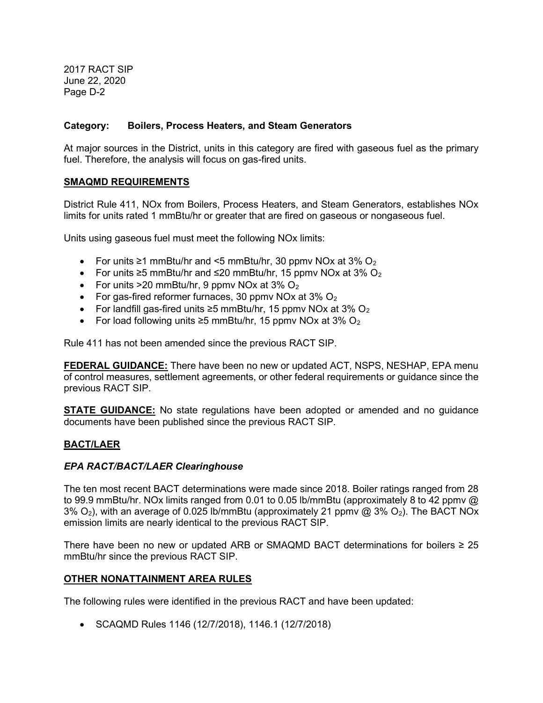## Category: Boilers, Process Heaters, and Steam Generators

At major sources in the District, units in this category are fired with gaseous fuel as the primary fuel. Therefore, the analysis will focus on gas-fired units.

## SMAQMD REQUIREMENTS

District Rule 411, NOx from Boilers, Process Heaters, and Steam Generators, establishes NOx limits for units rated 1 mmBtu/hr or greater that are fired on gaseous or nongaseous fuel.

Units using gaseous fuel must meet the following NOx limits:

- For units ≥1 mmBtu/hr and <5 mmBtu/hr, 30 ppmv NOx at 3%  $O<sub>2</sub>$
- For units  $\geq 5$  mmBtu/hr and ≤20 mmBtu/hr, 15 ppmv NOx at 3% O<sub>2</sub>
- For units  $>20$  mmBtu/hr, 9 ppmv NOx at 3% O<sub>2</sub>
- For gas-fired reformer furnaces, 30 ppmv NOx at  $3\%$  O<sub>2</sub>
- For landfill gas-fired units  $\geq$ 5 mmBtu/hr, 15 ppmy NOx at 3% O<sub>2</sub>
- For load following units ≥5 mmBtu/hr, 15 ppmv NOx at 3% O<sub>2</sub>

Rule 411 has not been amended since the previous RACT SIP.

FEDERAL GUIDANCE: There have been no new or updated ACT, NSPS, NESHAP, EPA menu of control measures, settlement agreements, or other federal requirements or guidance since the previous RACT SIP.

**STATE GUIDANCE:** No state regulations have been adopted or amended and no guidance documents have been published since the previous RACT SIP.

## BACT/LAER

#### EPA RACT/BACT/LAER Clearinghouse

The ten most recent BACT determinations were made since 2018. Boiler ratings ranged from 28 to 99.9 mmBtu/hr. NOx limits ranged from 0.01 to 0.05 lb/mmBtu (approximately 8 to 42 ppmv @ 3%  $O_2$ ), with an average of 0.025 lb/mmBtu (approximately 21 ppmv @ 3%  $O_2$ ). The BACT NOx emission limits are nearly identical to the previous RACT SIP.

There have been no new or updated ARB or SMAQMD BACT determinations for boilers  $\geq 25$ mmBtu/hr since the previous RACT SIP.

#### OTHER NONATTAINMENT AREA RULES

The following rules were identified in the previous RACT and have been updated:

SCAQMD Rules 1146 (12/7/2018), 1146.1 (12/7/2018)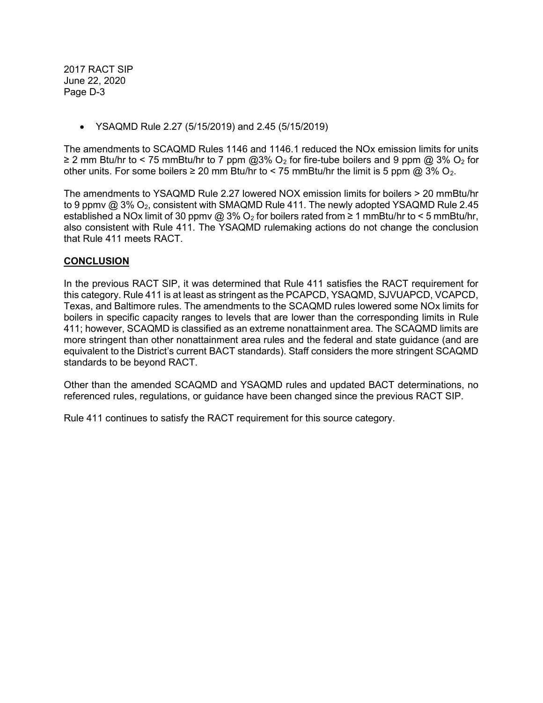YSAQMD Rule 2.27 (5/15/2019) and 2.45 (5/15/2019)

The amendments to SCAQMD Rules 1146 and 1146.1 reduced the NOx emission limits for units ≥ 2 mm Btu/hr to < 75 mmBtu/hr to 7 ppm @3% O<sub>2</sub> for fire-tube boilers and 9 ppm @ 3% O<sub>2</sub> for other units. For some boilers  $\geq 20$  mm Btu/hr to < 75 mmBtu/hr the limit is 5 ppm @ 3% O<sub>2</sub>.

The amendments to YSAQMD Rule 2.27 lowered NOX emission limits for boilers > 20 mmBtu/hr to 9 ppmv  $@3\%$  O<sub>2</sub>, consistent with SMAQMD Rule 411. The newly adopted YSAQMD Rule 2.45 established a NOx limit of 30 ppmv @ 3% O<sub>2</sub> for boilers rated from  $\geq 1$  mmBtu/hr to < 5 mmBtu/hr, also consistent with Rule 411. The YSAQMD rulemaking actions do not change the conclusion that Rule 411 meets RACT.

## **CONCLUSION**

In the previous RACT SIP, it was determined that Rule 411 satisfies the RACT requirement for this category. Rule 411 is at least as stringent as the PCAPCD, YSAQMD, SJVUAPCD, VCAPCD, Texas, and Baltimore rules. The amendments to the SCAQMD rules lowered some NOx limits for boilers in specific capacity ranges to levels that are lower than the corresponding limits in Rule 411; however, SCAQMD is classified as an extreme nonattainment area. The SCAQMD limits are more stringent than other nonattainment area rules and the federal and state guidance (and are equivalent to the District's current BACT standards). Staff considers the more stringent SCAQMD standards to be beyond RACT.

Other than the amended SCAQMD and YSAQMD rules and updated BACT determinations, no referenced rules, regulations, or guidance have been changed since the previous RACT SIP.

Rule 411 continues to satisfy the RACT requirement for this source category.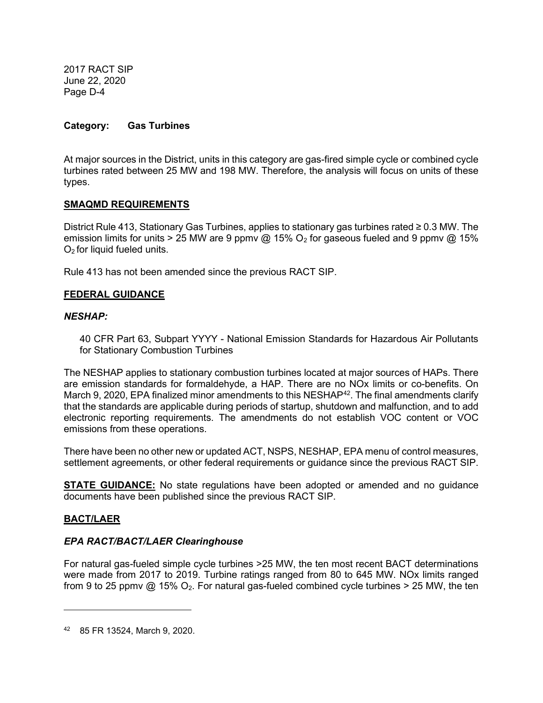## Category: Gas Turbines

At major sources in the District, units in this category are gas-fired simple cycle or combined cycle turbines rated between 25 MW and 198 MW. Therefore, the analysis will focus on units of these types.

## SMAQMD REQUIREMENTS

District Rule 413, Stationary Gas Turbines, applies to stationary gas turbines rated ≥ 0.3 MW. The emission limits for units > 25 MW are 9 ppmv @ 15%  $O_2$  for gaseous fueled and 9 ppmv @ 15% O2 for liquid fueled units.

Rule 413 has not been amended since the previous RACT SIP.

## FEDERAL GUIDANCE

## NESHAP:

40 CFR Part 63, Subpart YYYY - National Emission Standards for Hazardous Air Pollutants for Stationary Combustion Turbines

The NESHAP applies to stationary combustion turbines located at major sources of HAPs. There are emission standards for formaldehyde, a HAP. There are no NOx limits or co-benefits. On March 9, 2020, EPA finalized minor amendments to this NESHAP $42$ . The final amendments clarify that the standards are applicable during periods of startup, shutdown and malfunction, and to add electronic reporting requirements. The amendments do not establish VOC content or VOC emissions from these operations.

There have been no other new or updated ACT, NSPS, NESHAP, EPA menu of control measures, settlement agreements, or other federal requirements or guidance since the previous RACT SIP.

**STATE GUIDANCE:** No state regulations have been adopted or amended and no guidance documents have been published since the previous RACT SIP.

## BACT/LAER

## EPA RACT/BACT/LAER Clearinghouse

For natural gas-fueled simple cycle turbines >25 MW, the ten most recent BACT determinations were made from 2017 to 2019. Turbine ratings ranged from 80 to 645 MW. NOx limits ranged from 9 to 25 ppmv  $\omega$  15% O<sub>2</sub>. For natural gas-fueled combined cycle turbines > 25 MW, the ten

<sup>42</sup> 85 FR 13524, March 9, 2020.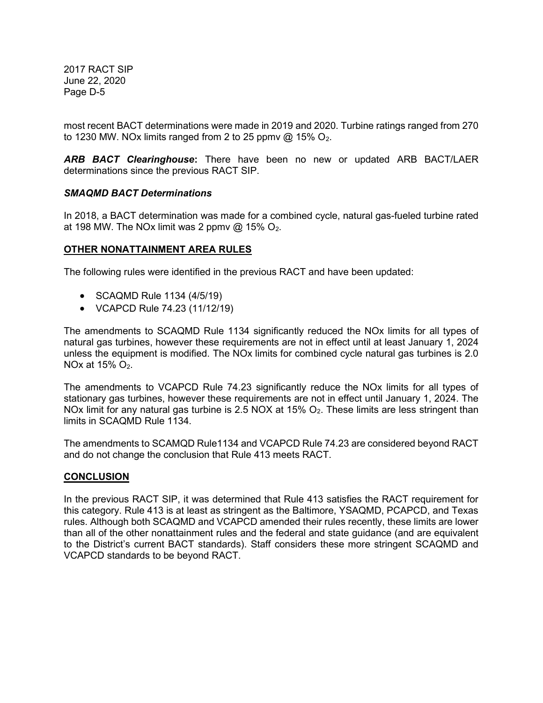most recent BACT determinations were made in 2019 and 2020. Turbine ratings ranged from 270 to 1230 MW. NOx limits ranged from 2 to 25 ppmv  $@$  15% O<sub>2</sub>.

ARB BACT Clearinghouse: There have been no new or updated ARB BACT/LAER determinations since the previous RACT SIP.

## SMAQMD BACT Determinations

In 2018, a BACT determination was made for a combined cycle, natural gas-fueled turbine rated at 198 MW. The NOx limit was 2 ppmv  $@$  15% O<sub>2</sub>.

#### OTHER NONATTAINMENT AREA RULES

The following rules were identified in the previous RACT and have been updated:

- SCAQMD Rule 1134 (4/5/19)
- VCAPCD Rule 74.23 (11/12/19)

The amendments to SCAQMD Rule 1134 significantly reduced the NOx limits for all types of natural gas turbines, however these requirements are not in effect until at least January 1, 2024 unless the equipment is modified. The NOx limits for combined cycle natural gas turbines is 2.0 NOx at  $15\%$  O<sub>2</sub>.

The amendments to VCAPCD Rule 74.23 significantly reduce the NOx limits for all types of stationary gas turbines, however these requirements are not in effect until January 1, 2024. The NOx limit for any natural gas turbine is 2.5 NOX at 15% O<sub>2</sub>. These limits are less stringent than limits in SCAQMD Rule 1134.

The amendments to SCAMQD Rule1134 and VCAPCD Rule 74.23 are considered beyond RACT and do not change the conclusion that Rule 413 meets RACT.

#### **CONCLUSION**

In the previous RACT SIP, it was determined that Rule 413 satisfies the RACT requirement for this category. Rule 413 is at least as stringent as the Baltimore, YSAQMD, PCAPCD, and Texas rules. Although both SCAQMD and VCAPCD amended their rules recently, these limits are lower than all of the other nonattainment rules and the federal and state guidance (and are equivalent to the District's current BACT standards). Staff considers these more stringent SCAQMD and VCAPCD standards to be beyond RACT.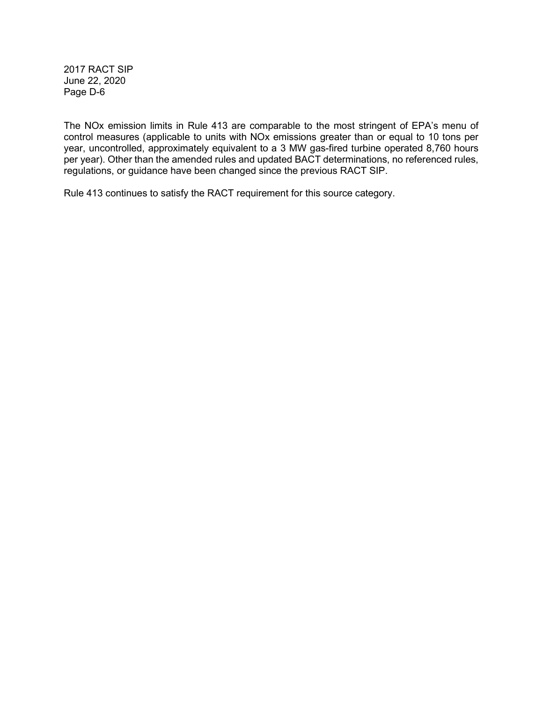The NOx emission limits in Rule 413 are comparable to the most stringent of EPA's menu of control measures (applicable to units with NOx emissions greater than or equal to 10 tons per year, uncontrolled, approximately equivalent to a 3 MW gas-fired turbine operated 8,760 hours per year). Other than the amended rules and updated BACT determinations, no referenced rules, regulations, or guidance have been changed since the previous RACT SIP.

Rule 413 continues to satisfy the RACT requirement for this source category.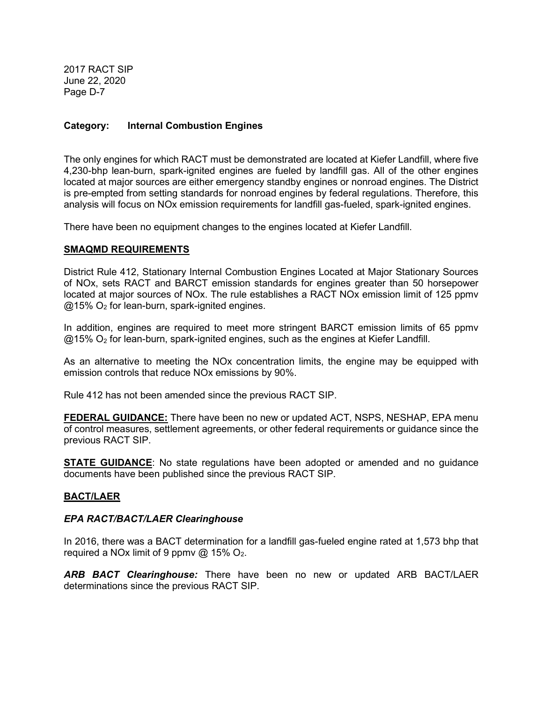## Category: Internal Combustion Engines

The only engines for which RACT must be demonstrated are located at Kiefer Landfill, where five 4,230-bhp lean-burn, spark-ignited engines are fueled by landfill gas. All of the other engines located at major sources are either emergency standby engines or nonroad engines. The District is pre-empted from setting standards for nonroad engines by federal regulations. Therefore, this analysis will focus on NOx emission requirements for landfill gas-fueled, spark-ignited engines.

There have been no equipment changes to the engines located at Kiefer Landfill.

#### SMAQMD REQUIREMENTS

District Rule 412, Stationary Internal Combustion Engines Located at Major Stationary Sources of NOx, sets RACT and BARCT emission standards for engines greater than 50 horsepower located at major sources of NOx. The rule establishes a RACT NOx emission limit of 125 ppmv  $@15\%$  O<sub>2</sub> for lean-burn, spark-ignited engines.

In addition, engines are required to meet more stringent BARCT emission limits of 65 ppmv  $@15\%$  O<sub>2</sub> for lean-burn, spark-ignited engines, such as the engines at Kiefer Landfill.

As an alternative to meeting the NOx concentration limits, the engine may be equipped with emission controls that reduce NOx emissions by 90%.

Rule 412 has not been amended since the previous RACT SIP.

FEDERAL GUIDANCE: There have been no new or updated ACT, NSPS, NESHAP, EPA menu of control measures, settlement agreements, or other federal requirements or guidance since the previous RACT SIP.

**STATE GUIDANCE:** No state regulations have been adopted or amended and no guidance documents have been published since the previous RACT SIP.

#### BACT/LAER

#### EPA RACT/BACT/LAER Clearinghouse

In 2016, there was a BACT determination for a landfill gas-fueled engine rated at 1,573 bhp that required a NOx limit of 9 ppmv @ 15%  $O_2$ .

ARB BACT Clearinghouse: There have been no new or updated ARB BACT/LAER determinations since the previous RACT SIP.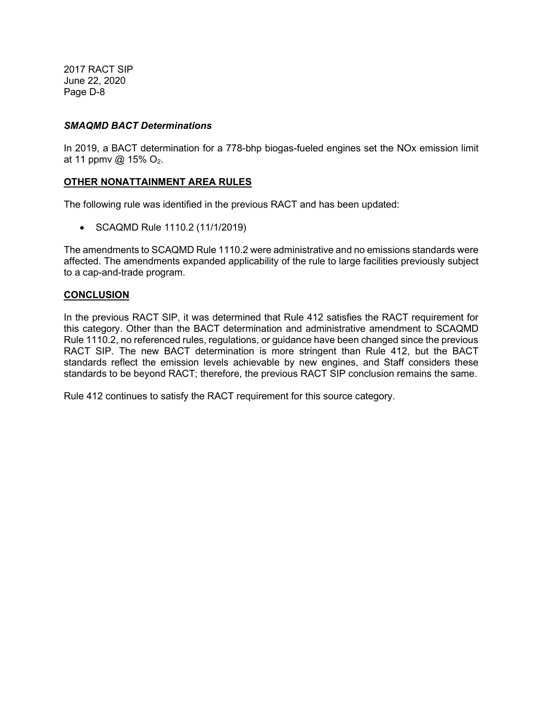### SMAQMD BACT Determinations

In 2019, a BACT determination for a 778-bhp biogas-fueled engines set the NOx emission limit at 11 ppmv @ 15%  $O_2$ .

## OTHER NONATTAINMENT AREA RULES

The following rule was identified in the previous RACT and has been updated:

• SCAQMD Rule 1110.2 (11/1/2019)

The amendments to SCAQMD Rule 1110.2 were administrative and no emissions standards were affected. The amendments expanded applicability of the rule to large facilities previously subject to a cap-and-trade program.

## **CONCLUSION**

In the previous RACT SIP, it was determined that Rule 412 satisfies the RACT requirement for this category. Other than the BACT determination and administrative amendment to SCAQMD Rule 1110.2, no referenced rules, regulations, or guidance have been changed since the previous RACT SIP. The new BACT determination is more stringent than Rule 412, but the BACT standards reflect the emission levels achievable by new engines, and Staff considers these standards to be beyond RACT; therefore, the previous RACT SIP conclusion remains the same.

Rule 412 continues to satisfy the RACT requirement for this source category.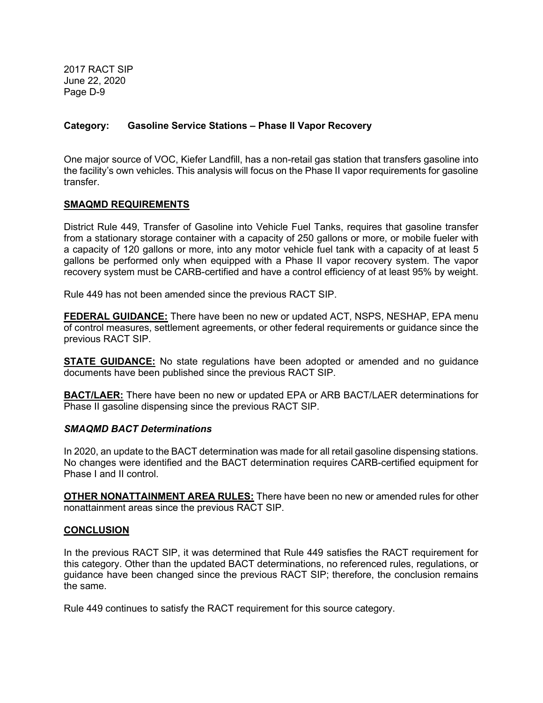## Category: Gasoline Service Stations – Phase II Vapor Recovery

One major source of VOC, Kiefer Landfill, has a non-retail gas station that transfers gasoline into the facility's own vehicles. This analysis will focus on the Phase II vapor requirements for gasoline transfer.

#### SMAQMD REQUIREMENTS

District Rule 449, Transfer of Gasoline into Vehicle Fuel Tanks, requires that gasoline transfer from a stationary storage container with a capacity of 250 gallons or more, or mobile fueler with a capacity of 120 gallons or more, into any motor vehicle fuel tank with a capacity of at least 5 gallons be performed only when equipped with a Phase II vapor recovery system. The vapor recovery system must be CARB-certified and have a control efficiency of at least 95% by weight.

Rule 449 has not been amended since the previous RACT SIP.

FEDERAL GUIDANCE: There have been no new or updated ACT, NSPS, NESHAP, EPA menu of control measures, settlement agreements, or other federal requirements or guidance since the previous RACT SIP.

**STATE GUIDANCE:** No state regulations have been adopted or amended and no guidance documents have been published since the previous RACT SIP.

**BACT/LAER:** There have been no new or updated EPA or ARB BACT/LAER determinations for Phase II gasoline dispensing since the previous RACT SIP.

#### SMAQMD BACT Determinations

In 2020, an update to the BACT determination was made for all retail gasoline dispensing stations. No changes were identified and the BACT determination requires CARB-certified equipment for Phase I and II control.

**OTHER NONATTAINMENT AREA RULES:** There have been no new or amended rules for other nonattainment areas since the previous RACT SIP.

#### **CONCLUSION**

In the previous RACT SIP, it was determined that Rule 449 satisfies the RACT requirement for this category. Other than the updated BACT determinations, no referenced rules, regulations, or guidance have been changed since the previous RACT SIP; therefore, the conclusion remains the same.

Rule 449 continues to satisfy the RACT requirement for this source category.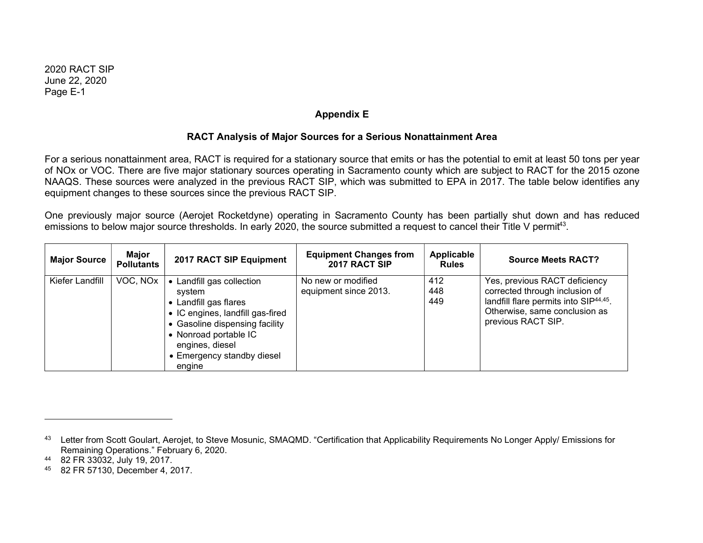## Appendix E

## RACT Analysis of Major Sources for a Serious Nonattainment Area

For a serious nonattainment area, RACT is required for a stationary source that emits or has the potential to emit at least 50 tons per year of NOx or VOC. There are five major stationary sources operating in Sacramento county which are subject to RACT for the 2015 ozone NAAQS. These sources were analyzed in the previous RACT SIP, which was submitted to EPA in 2017. The table below identifies any equipment changes to these sources since the previous RACT SIP.

One previously major source (Aerojet Rocketdyne) operating in Sacramento County has been partially shut down and has reduced emissions to below major source thresholds. In early 2020, the source submitted a request to cancel their Title V permit<sup>43</sup>.

| <b>Major Source</b> | Major<br><b>Pollutants</b> | 2017 RACT SIP Equipment                                                                                                                                                                                                | <b>Equipment Changes from</b><br>2017 RACT SIP | Applicable<br><b>Rules</b> | <b>Source Meets RACT?</b>                                                                                                                                                    |
|---------------------|----------------------------|------------------------------------------------------------------------------------------------------------------------------------------------------------------------------------------------------------------------|------------------------------------------------|----------------------------|------------------------------------------------------------------------------------------------------------------------------------------------------------------------------|
| Kiefer Landfill     | VOC, NOX                   | • Landfill gas collection<br>system<br>• Landfill gas flares<br>• IC engines, landfill gas-fired<br>• Gasoline dispensing facility<br>• Nonroad portable IC<br>engines, diesel<br>• Emergency standby diesel<br>engine | No new or modified<br>equipment since 2013.    | 412<br>448<br>449          | Yes, previous RACT deficiency<br>corrected through inclusion of<br>landfill flare permits into SIP <sup>44,45</sup> .<br>Otherwise, same conclusion as<br>previous RACT SIP. |

<sup>43</sup> Letter from Scott Goulart, Aerojet, to Steve Mosunic, SMAQMD. "Certification that Applicability Requirements No Longer Apply/ Emissions for Remaining Operations." February 6, 2020.

<sup>44</sup> 82 FR 33032, July 19, 2017.

<sup>45</sup> 82 FR 57130, December 4, 2017.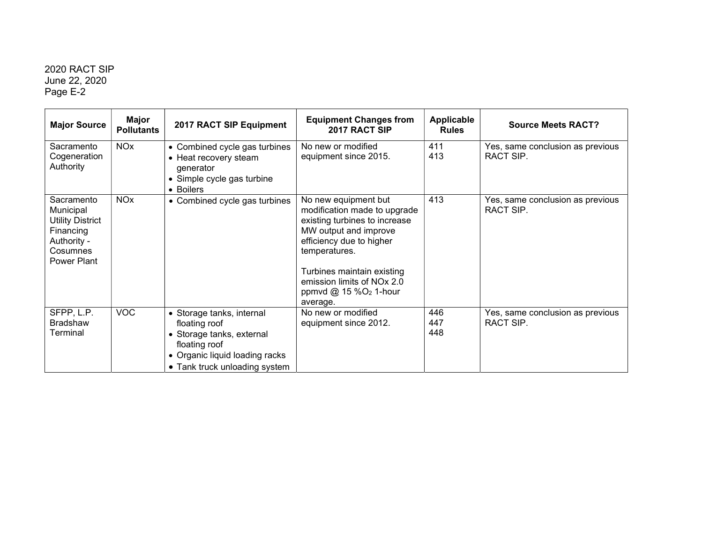| <b>Major Source</b>                                                                                       | <b>Major</b><br><b>Pollutants</b> | 2017 RACT SIP Equipment                                                                                                                                     | <b>Equipment Changes from</b><br>2017 RACT SIP                                                                                                                                                                                                                             | <b>Applicable</b><br><b>Rules</b> | <b>Source Meets RACT?</b>                     |
|-----------------------------------------------------------------------------------------------------------|-----------------------------------|-------------------------------------------------------------------------------------------------------------------------------------------------------------|----------------------------------------------------------------------------------------------------------------------------------------------------------------------------------------------------------------------------------------------------------------------------|-----------------------------------|-----------------------------------------------|
| Sacramento<br>Cogeneration<br>Authority                                                                   | <b>NO<sub>x</sub></b>             | • Combined cycle gas turbines<br>• Heat recovery steam<br>generator<br>• Simple cycle gas turbine<br>• Boilers                                              | No new or modified<br>equipment since 2015.                                                                                                                                                                                                                                | 411<br>413                        | Yes, same conclusion as previous<br>RACT SIP. |
| Sacramento<br>Municipal<br><b>Utility District</b><br>Financing<br>Authority -<br>Cosumnes<br>Power Plant | <b>NO<sub>x</sub></b>             | • Combined cycle gas turbines                                                                                                                               | No new equipment but<br>modification made to upgrade<br>existing turbines to increase<br>MW output and improve<br>efficiency due to higher<br>temperatures.<br>Turbines maintain existing<br>emission limits of NO <sub>x</sub> 2.0<br>ppmvd @ $15\%O2$ 1-hour<br>average. | 413                               | Yes, same conclusion as previous<br>RACT SIP. |
| SFPP, L.P.<br><b>Bradshaw</b><br>Terminal                                                                 | <b>VOC</b>                        | • Storage tanks, internal<br>floating roof<br>• Storage tanks, external<br>floating roof<br>• Organic liquid loading racks<br>• Tank truck unloading system | No new or modified<br>equipment since 2012.                                                                                                                                                                                                                                | 446<br>447<br>448                 | Yes, same conclusion as previous<br>RACT SIP. |